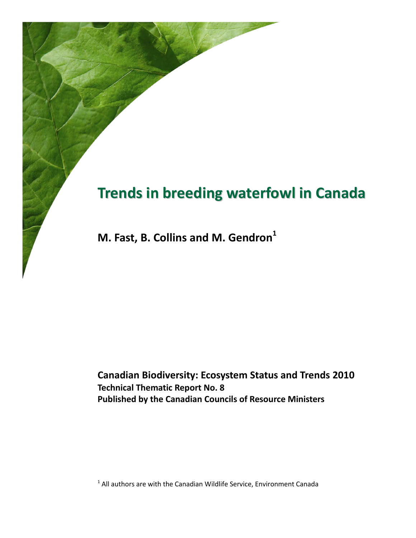# **Trends in breeding waterfowl in Canada**

**M. Fast, B. Collins and M. Gendron<sup>1</sup>**

**Canadian Biodiversity: Ecosystem Status and Trends 2010 Technical Thematic Report No. 8 Published by the Canadian Councils of Resource Ministers**

 $1$  All authors are with the Canadian Wildlife Service, Environment Canada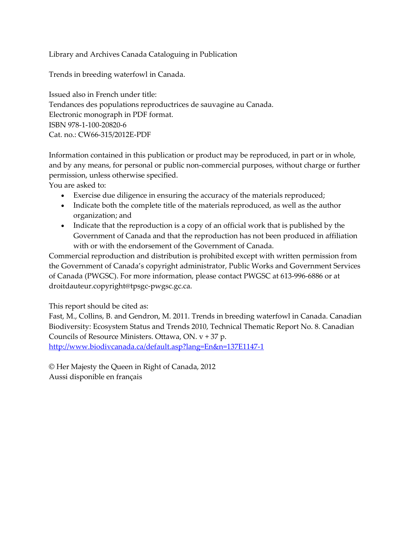Library and Archives Canada Cataloguing in Publication

Trends in breeding waterfowl in Canada.

Issued also in French under title: Tendances des populations reproductrices de sauvagine au Canada. Electronic monograph in PDF format. ISBN 978-1-100-20820-6 Cat. no.: CW66-315/2012E-PDF

Information contained in this publication or product may be reproduced, in part or in whole, and by any means, for personal or public non-commercial purposes, without charge or further permission, unless otherwise specified.

You are asked to:

- Exercise due diligence in ensuring the accuracy of the materials reproduced;
- Indicate both the complete title of the materials reproduced, as well as the author organization; and
- Indicate that the reproduction is a copy of an official work that is published by the Government of Canada and that the reproduction has not been produced in affiliation with or with the endorsement of the Government of Canada.

Commercial reproduction and distribution is prohibited except with written permission from the Government of Canada's copyright administrator, Public Works and Government Services of Canada (PWGSC). For more information, please contact PWGSC at 613-996-6886 or at droitdauteur.copyright@tpsgc-pwgsc.gc.ca.

This report should be cited as:

Fast, M., Collins, B. and Gendron, M. 2011. Trends in breeding waterfowl in Canada. Canadian Biodiversity: Ecosystem Status and Trends 2010, Technical Thematic Report No. 8. Canadian Councils of Resource Ministers. Ottawa, ON. v + 37 p. <http://www.biodivcanada.ca/default.asp?lang=En&n=137E1147-1>

© Her Majesty the Queen in Right of Canada, 2012 Aussi disponible en français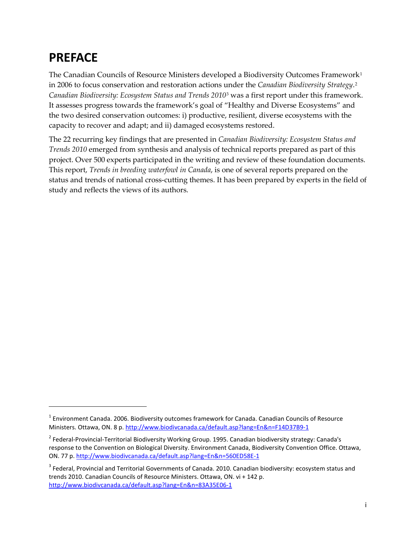# <span id="page-2-3"></span>**PREFACE**

 $\overline{a}$ 

The Canadian Councils of Resource Ministers developed a Biodiversity Outcomes Framework<sup>[1](#page-2-0)</sup> in 2006 to focus conservation and restoration actions under the *Canadian Biodiversity Strategy*.[2](#page-2-1) *Canadian Biodiversity: Ecosystem Status and Trends 2010*[3](#page-2-2) was a first report under this framework. It assesses progress towards the framework's goal of "Healthy and Diverse Ecosystems" and the two desired conservation outcomes: i) productive, resilient, diverse ecosystems with the capacity to recover and adapt; and ii) damaged ecosystems restored.

The 22 recurring key findings that are presented in *Canadian Biodiversity: Ecosystem Status and Trends 2010* emerged from synthesis and analysis of technical reports prepared as part of this project. Over 500 experts participated in the writing and review of these foundation documents. This report, *Trends in breeding waterfowl in Canada*, is one of several reports prepared on the status and trends of national cross-cutting themes. It has been prepared by experts in the field of study and reflects the views of its authors.

<span id="page-2-0"></span> $1$  Environment Canada. 2006. Biodiversity outcomes framework for Canada. Canadian Councils of Resource Ministers. Ottawa, ON. 8 p.<http://www.biodivcanada.ca/default.asp?lang=En&n=F14D37B9-1>

<span id="page-2-1"></span><sup>2</sup> Federal-Provincial-Territorial Biodiversity Working Group. 1995. Canadian biodiversity strategy: Canada's response to the Convention on Biological Diversity. Environment Canada, Biodiversity Convention Office. Ottawa, ON. 77 p. <http://www.biodivcanada.ca/default.asp?lang=En&n=560ED58E-1>

<span id="page-2-2"></span><sup>&</sup>lt;sup>3</sup> Federal, Provincial and Territorial Governments of Canada. 2010. Canadian biodiversity: ecosystem status and trends 2010. Canadian Councils of Resource Ministers. Ottawa, ON. vi + 142 p. <http://www.biodivcanada.ca/default.asp?lang=En&n=83A35E06-1>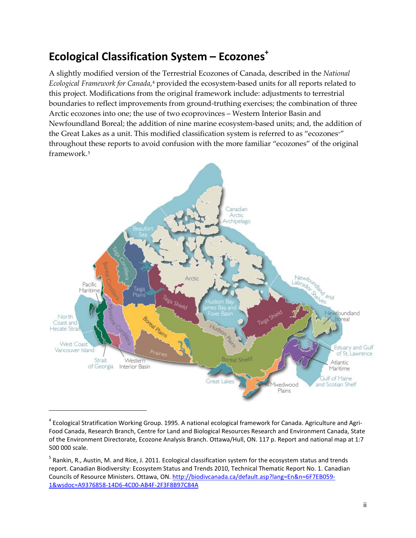# <span id="page-3-2"></span>**Ecological Classification System – Ecozones<sup>+</sup>**

A slightly modified version of the Terrestrial Ecozones of Canada, described in the *National Ecological Framework for Canada*,<sup>4</sup> provided the ecosystem-based units for all reports related to this project. Modifications from the original framework include: adjustments to terrestrial boundaries to reflect improvements from ground-truthing exercises; the combination of three Arctic ecozones into one; the use of two ecoprovinces – Western Interior Basin and Newfoundland Boreal; the addition of nine marine ecosystem-based units; and, the addition of the Great Lakes as a unit. This modified classification system is referred to as "ecozones<sup>+"</sup> throughout these reports to avoid confusion with the more familiar "ecozones" of the original framework.[5](#page-3-1)



<span id="page-3-0"></span> $4$  Ecological Stratification Working Group. 1995. A national ecological framework for Canada. Agriculture and Agri-Food Canada, Research Branch, Centre for Land and Biological Resources Research and Environment Canada, State of the Environment Directorate, Ecozone Analysis Branch. Ottawa/Hull, ON. 117 p. Report and national map at 1:7 500 000 scale.

 $\overline{a}$ 

<span id="page-3-1"></span><sup>5</sup> Rankin, R., Austin, M. and Rice, J. 2011. Ecological classification system for the ecosystem status and trends report. Canadian Biodiversity: Ecosystem Status and Trends 2010, Technical Thematic Report No. 1. Canadian Councils of Resource Ministers. Ottawa, ON. [http://biodivcanada.ca/default.asp?lang=En&n=6F7EB059-](http://biodivcanada.ca/default.asp?lang=En&n=6F7EB059-1&wsdoc=A9376858-14D6-4C00-AB4F-2F3F8B97C84A) [1&wsdoc=A9376858-14D6-4C00-AB4F-2F3F8B97C84A](http://biodivcanada.ca/default.asp?lang=En&n=6F7EB059-1&wsdoc=A9376858-14D6-4C00-AB4F-2F3F8B97C84A)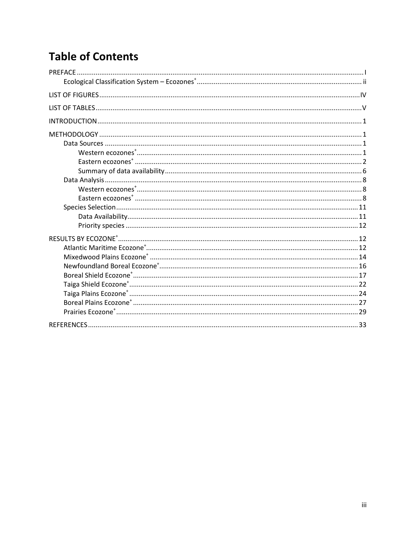# **Table of Contents**

| PREFACE. |  |
|----------|--|
|          |  |
|          |  |
|          |  |
|          |  |
|          |  |
|          |  |
|          |  |
|          |  |
|          |  |
|          |  |
|          |  |
|          |  |
|          |  |
|          |  |
|          |  |
|          |  |
|          |  |
|          |  |
|          |  |
|          |  |
|          |  |
|          |  |
|          |  |
|          |  |
|          |  |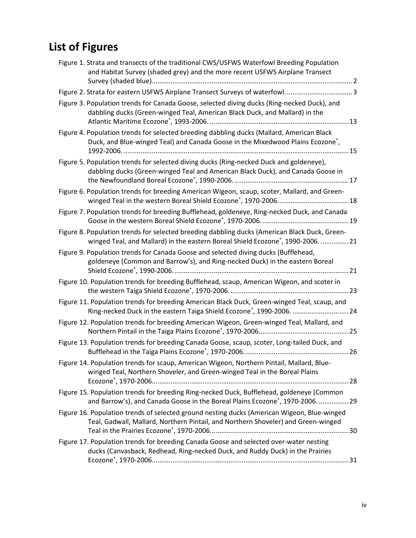# <span id="page-5-0"></span>**List of Figures**

| Figure 1. Strata and transects of the traditional CWS/USFWS Waterfowl Breeding Population<br>and Habitat Survey (shaded grey) and the more recent USFWS Airplane Transect                |                                                                                              |
|------------------------------------------------------------------------------------------------------------------------------------------------------------------------------------------|----------------------------------------------------------------------------------------------|
| Figure 2. Strata for eastern USFWS Airplane Transect Surveys of waterfowl. 3                                                                                                             |                                                                                              |
| Figure 3. Population trends for Canada Goose, selected diving ducks (Ring-necked Duck), and<br>dabbling ducks (Green-winged Teal, American Black Duck, and Mallard) in the               |                                                                                              |
| Figure 4. Population trends for selected breeding dabbling ducks (Mallard, American Black<br>Duck, and Blue-winged Teal) and Canada Goose in the Mixedwood Plains Ecozone <sup>+</sup> , |                                                                                              |
| Figure 5. Population trends for selected diving ducks (Ring-necked Duck and goldeneye),<br>dabbling ducks (Green-winged Teal and American Black Duck), and Canada Goose in               |                                                                                              |
| Figure 6. Population trends for breeding American Wigeon, scaup, scoter, Mallard, and Green-                                                                                             |                                                                                              |
| Figure 7. Population trends for breeding Bufflehead, goldeneye, Ring-necked Duck, and Canada                                                                                             |                                                                                              |
| Figure 8. Population trends for selected breeding dabbling ducks (American Black Duck, Green-                                                                                            | winged Teal, and Mallard) in the eastern Boreal Shield Ecozone <sup>+</sup> , 1990-2006.  21 |
| Figure 9. Population trends for Canada Goose and selected diving ducks (Bufflehead,<br>goldeneye (Common and Barrow's), and Ring-necked Duck) in the eastern Boreal                      |                                                                                              |
| Figure 10. Population trends for breeding Bufflehead, scaup, American Wigeon, and scoter in                                                                                              |                                                                                              |
| Figure 11. Population trends for breeding American Black Duck, Green-winged Teal, scaup, and                                                                                             | Ring-necked Duck in the eastern Taiga Shield Ecozone <sup>+</sup> , 1990-2006.  24           |
| Figure 12. Population trends for breeding American Wigeon, Green-winged Teal, Mallard, and                                                                                               |                                                                                              |
| Figure 13. Population trends for breeding Canada Goose, scaup, scoter, Long-tailed Duck, and                                                                                             |                                                                                              |
| Figure 14. Population trends for scaup, American Wigeon, Northern Pintail, Mallard, Blue-<br>winged Teal, Northern Shoveler, and Green-winged Teal in the Boreal Plains                  |                                                                                              |
| Figure 15. Population trends for breeding Ring-necked Duck, Bufflehead, goldeneye (Common                                                                                                | and Barrow's), and Canada Goose in the Boreal Plains Ecozone <sup>+</sup> , 1970-2006.  29   |
| Figure 16. Population trends of selected ground nesting ducks (American Wigeon, Blue-winged<br>Teal, Gadwall, Mallard, Northern Pintail, and Northern Shoveler) and Green-winged         |                                                                                              |
| Figure 17. Population trends for breeding Canada Goose and selected over-water nesting<br>ducks (Canvasback, Redhead, Ring-necked Duck, and Ruddy Duck) in the Prairies                  |                                                                                              |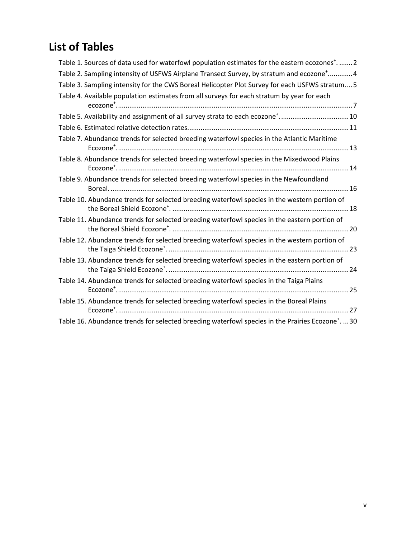# <span id="page-6-0"></span>**List of Tables**

| Table 1. Sources of data used for waterfowl population estimates for the eastern ecozones <sup>+</sup> .  2  |
|--------------------------------------------------------------------------------------------------------------|
| Table 2. Sampling intensity of USFWS Airplane Transect Survey, by stratum and ecozone <sup>+</sup> 4         |
| Table 3. Sampling intensity for the CWS Boreal Helicopter Plot Survey for each USFWS stratum 5               |
| Table 4. Available population estimates from all surveys for each stratum by year for each                   |
| Table 5. Availability and assignment of all survey strata to each ecozone <sup>+</sup> 10                    |
|                                                                                                              |
| Table 7. Abundance trends for selected breeding waterfowl species in the Atlantic Maritime                   |
| Table 8. Abundance trends for selected breeding waterfowl species in the Mixedwood Plains                    |
| Table 9. Abundance trends for selected breeding waterfowl species in the Newfoundland                        |
| Table 10. Abundance trends for selected breeding waterfowl species in the western portion of                 |
| Table 11. Abundance trends for selected breeding waterfowl species in the eastern portion of                 |
| Table 12. Abundance trends for selected breeding waterfowl species in the western portion of                 |
| Table 13. Abundance trends for selected breeding waterfowl species in the eastern portion of                 |
| Table 14. Abundance trends for selected breeding waterfowl species in the Taiga Plains                       |
| Table 15. Abundance trends for selected breeding waterfowl species in the Boreal Plains                      |
| Table 16. Abundance trends for selected breeding waterfowl species in the Prairies Ecozone <sup>+</sup> . 30 |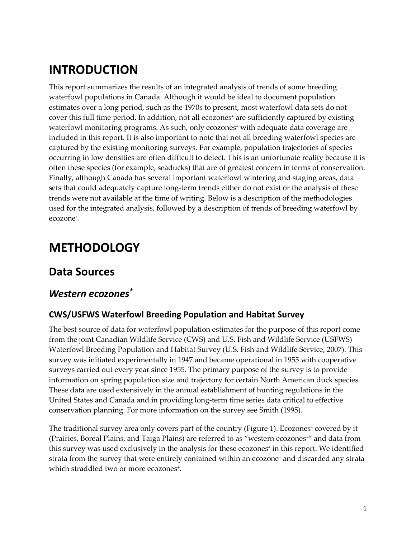# <span id="page-7-0"></span>**INTRODUCTION**

This report summarizes the results of an integrated analysis of trends of some breeding waterfowl populations in Canada. Although it would be ideal to document population estimates over a long period, such as the 1970s to present, most waterfowl data sets do not cover this full time period. In addition, not all ecozones<sup>+</sup> are sufficiently captured by existing waterfowl monitoring programs. As such, only ecozones<sup>+</sup> with adequate data coverage are included in this report. It is also important to note that not all breeding waterfowl species are captured by the existing monitoring surveys. For example, population trajectories of species occurring in low densities are often difficult to detect. This is an unfortunate reality because it is often these species (for example, seaducks) that are of greatest concern in terms of conservation. Finally, although Canada has several important waterfowl wintering and staging areas, data sets that could adequately capture long-term trends either do not exist or the analysis of these trends were not available at the time of writing. Below is a description of the methodologies used for the integrated analysis, followed by a description of trends of breeding waterfowl by ecozone+.

# <span id="page-7-1"></span>**METHODOLOGY**

### <span id="page-7-2"></span>**Data Sources**

## <span id="page-7-3"></span>*Western ecozones +*

#### **CWS/USFWS Waterfowl Breeding Population and Habitat Survey**

The best source of data for waterfowl population estimates for the purpose of this report come from the joint Canadian Wildlife Service (CWS) and U.S. Fish and Wildlife Service (USFWS) Waterfowl Breeding Population and Habitat Survey (U.S. Fish and Wildlife Service, 2007). This survey was initiated experimentally in 1947 and became operational in 1955 with cooperative surveys carried out every year since 1955. The primary purpose of the survey is to provide information on spring population size and trajectory for certain North American duck species. These data are used extensively in the annual establishment of hunting regulations in the United States and Canada and in providing long-term time series data critical to effective conservation planning. For more information on the survey see Smith (1995).

The traditional survey area only covers part of the country [\(Figure](#page-8-1) 1). Ecozones<sup>+</sup> covered by it (Prairies, Boreal Plains, and Taiga Plains) are referred to as "western ecozones+" and data from this survey was used exclusively in the analysis for these ecozones<sup>+</sup> in this report. We identified strata from the survey that were entirely contained within an ecozone<sup>+</sup> and discarded any strata which straddled two or more ecozones<sup>+</sup>.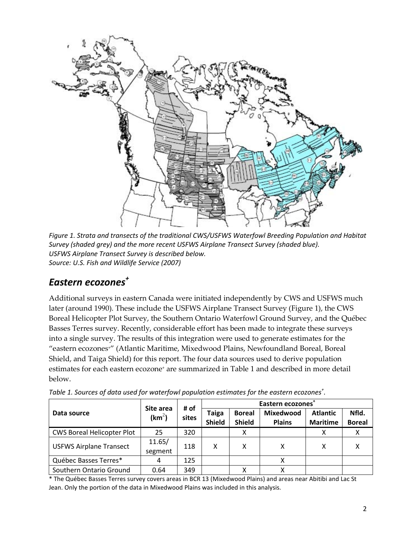

<span id="page-8-1"></span>*Figure 1. Strata and transects of the traditional CWS/USFWS Waterfowl Breeding Population and Habitat Survey (shaded grey) and the more recent USFWS Airplane Transect Survey (shaded blue). USFWS Airplane Transect Survey is described below. Source: U.S. Fish and Wildlife Service (2007)*

## <span id="page-8-0"></span>*Eastern ecozones +*

Additional surveys in eastern Canada were initiated independently by CWS and USFWS much later (around 1990). These include the USFWS Airplane Transect Survey [\(Figure](#page-8-1) 1), the CWS Boreal Helicopter Plot Survey, the Southern Ontario Waterfowl Ground Survey, and the Québec Basses Terres survey. Recently, considerable effort has been made to integrate these surveys into a single survey. The results of this integration were used to generate estimates for the "eastern ecozones<sup>+</sup>" (Atlantic Maritime, Mixedwood Plains, Newfoundland Boreal, Boreal Shield, and Taiga Shield) for this report. The four data sources used to derive population estimates for each eastern ecozone<sup>+</sup> are summarized in [Table](#page-8-2) 1 and described in more detail below.

|                                   | Site area          | # of  | Eastern ecozones       |                                |                                   |                                    |                        |  |  |
|-----------------------------------|--------------------|-------|------------------------|--------------------------------|-----------------------------------|------------------------------------|------------------------|--|--|
| Data source                       | (km <sup>2</sup> ) | sites | Taiga<br><b>Shield</b> | <b>Boreal</b><br><b>Shield</b> | <b>Mixedwood</b><br><b>Plains</b> | <b>Atlantic</b><br><b>Maritime</b> | Nfld.<br><b>Boreal</b> |  |  |
| <b>CWS Boreal Helicopter Plot</b> | 25                 | 320   |                        |                                |                                   |                                    |                        |  |  |
| <b>USFWS Airplane Transect</b>    | 11.65/<br>segment  | 118   | χ                      | χ                              |                                   |                                    |                        |  |  |
| Québec Basses Terres*             |                    | 125   |                        |                                |                                   |                                    |                        |  |  |
| Southern Ontario Ground           | 0.64               | 349   |                        | v                              |                                   |                                    |                        |  |  |

<span id="page-8-2"></span>*Table 1. Sources of data used for waterfowl population estimates for the eastern ecozones<sup>+</sup> .*

\* The Québec Basses Terres survey covers areas in BCR 13 (Mixedwood Plains) and areas near Abitibi and Lac St Jean. Only the portion of the data in Mixedwood Plains was included in this analysis.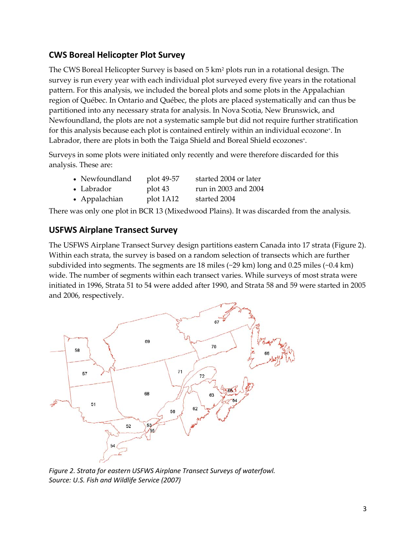#### **CWS Boreal Helicopter Plot Survey**

The CWS Boreal Helicopter Survey is based on  $5 \text{ km}^2$  plots run in a rotational design. The survey is run every year with each individual plot surveyed every five years in the rotational pattern. For this analysis, we included the boreal plots and some plots in the Appalachian region of Québec. In Ontario and Québec, the plots are placed systematically and can thus be partitioned into any necessary strata for analysis. In Nova Scotia, New Brunswick, and Newfoundland, the plots are not a systematic sample but did not require further stratification for this analysis because each plot is contained entirely within an individual ecozone<sup>+</sup>. In Labrador, there are plots in both the Taiga Shield and Boreal Shield ecozones<sup>+</sup>.

Surveys in some plots were initiated only recently and were therefore discarded for this analysis. These are:

|  | • Newfoundland | plot 49-57 | started 2004 or later |
|--|----------------|------------|-----------------------|
|--|----------------|------------|-----------------------|

• Labrador plot 43 run in 2003 and 2004

• Appalachian plot 1A12 started 2004

There was only one plot in BCR 13 (Mixedwood Plains). It was discarded from the analysis.

#### **USFWS Airplane Transect Survey**

The USFWS Airplane Transect Survey design partitions eastern Canada into 17 strata [\(Figure](#page-9-0) 2). Within each strata, the survey is based on a random selection of transects which are further subdivided into segments. The segments are 18 miles (~29 km) long and 0.25 miles (~0.4 km) wide. The number of segments within each transect varies. While surveys of most strata were initiated in 1996, Strata 51 to 54 were added after 1990, and Strata 58 and 59 were started in 2005 and 2006, respectively.



<span id="page-9-0"></span>*Figure 2. Strata for eastern USFWS Airplane Transect Surveys of waterfowl. Source: U.S. Fish and Wildlife Service (2007)*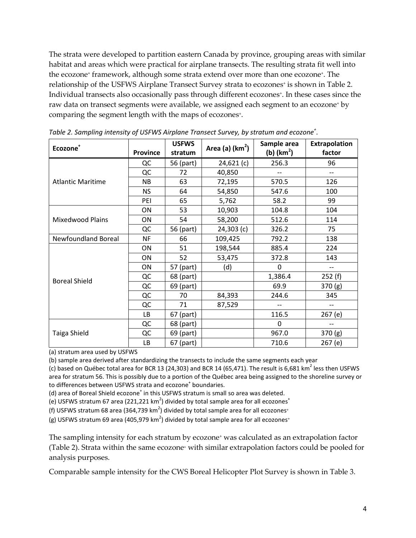The strata were developed to partition eastern Canada by province, grouping areas with similar habitat and areas which were practical for airplane transects. The resulting strata fit well into the ecozone<sup>+</sup> framework, although some strata extend over more than one ecozone<sup>+</sup>. The relationship of the USFWS Airplane Transect Survey strata to ecozones<sup>+</sup> is shown in [Table](#page-10-0) 2. Individual transects also occasionally pass through different ecozones<sup>+</sup>. In these cases since the raw data on transect segments were available, we assigned each segment to an ecozone+ by comparing the segment length with the maps of ecozones<sup>+</sup>.

| Ecozone <sup>+</sup>       | <b>Province</b> | <b>USFWS</b><br>stratum | Area (a) $(km2)$ | Sample area<br>(b) $(km2)$ | Extrapolation<br>factor |
|----------------------------|-----------------|-------------------------|------------------|----------------------------|-------------------------|
|                            | QC              | 56 (part)               | 24,621(c)        | 256.3                      | 96                      |
|                            | QC              | 72                      | 40,850           |                            | $-$                     |
| <b>Atlantic Maritime</b>   | <b>NB</b>       | 63                      | 72,195           | 570.5                      | 126                     |
|                            | <b>NS</b>       | 64                      | 54,850           | 547.6                      | 100                     |
|                            | PEI             | 65                      | 5,762            | 58.2                       | 99                      |
|                            | ON              | 53                      | 10,903           | 104.8                      | 104                     |
| <b>Mixedwood Plains</b>    | ON              | 54                      | 58,200           | 512.6                      | 114                     |
|                            | QC              | 56 (part)               | $24,303$ (c)     | 326.2                      | 75                      |
| <b>Newfoundland Boreal</b> | <b>NF</b>       | 66                      | 109,425          | 792.2                      | 138                     |
|                            | ON              | 51                      | 198,544          | 885.4                      | 224                     |
|                            | ON              | 52                      | 53,475           | 372.8                      | 143                     |
|                            | ON              | 57 (part)               | (d)              | 0                          | --                      |
| <b>Boreal Shield</b>       | QC              | 68 (part)               |                  | 1,386.4                    | 252(f)                  |
|                            | QC              | 69 (part)               |                  | 69.9                       | 370 (g)                 |
|                            | QC              | 70                      | 84,393           | 244.6                      | 345                     |
|                            | QC              | 71                      | 87,529           |                            |                         |
|                            | <b>LB</b>       | 67 (part)               |                  | 116.5                      | 267 (e)                 |
|                            | QC              | 68 (part)               |                  | $\Omega$                   |                         |
| Taiga Shield               | QC              | 69 (part)               |                  | 967.0                      | 370(g)                  |
|                            | LB              | 67 (part)               |                  | 710.6                      | 267 (e)                 |

<span id="page-10-0"></span>*Table 2. Sampling intensity of USFWS Airplane Transect Survey, by stratum and ecozone<sup>+</sup> .*

(a) stratum area used by USFWS

(b) sample area derived after standardizing the transects to include the same segments each year

(c) based on Québec total area for BCR 13 (24,303) and BCR 14 (65,471). The result is 6,681 km<sup>2</sup> less then USFWS area for stratum 56. This is possibly due to a portion of the Québec area being assigned to the shoreline survey or to differences between USFWS strata and ecozone<sup>+</sup> boundaries.

(d) area of Boreal Shield ecozone<sup>+</sup> in this USFWS stratum is small so area was deleted.

(e) USFWS stratum 67 area (221,221 km<sup>2</sup>) divided by total sample area for all ecozones<sup>+</sup>

(f) USFWS stratum 68 area (364,739 km<sup>2</sup>) divided by total sample area for all ecozones<sup>+</sup>

(g) USFWS stratum 69 area (405,979 km<sup>2</sup>) divided by total sample area for all ecozones<sup>+</sup>

The sampling intensity for each stratum by ecozone<sup>+</sup> was calculated as an extrapolation factor [\(Table](#page-10-0) 2). Strata within the same ecozone<sup>+</sup> with similar extrapolation factors could be pooled for analysis purposes.

Comparable sample intensity for the CWS Boreal Helicopter Plot Survey is shown in [Table 3.](#page-11-0)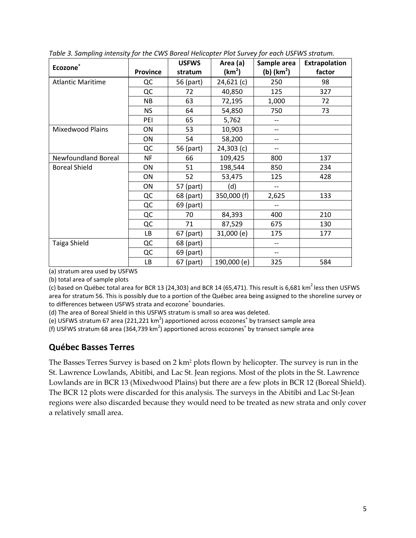| Ecozone <sup>+</sup>       |                 | <b>USFWS</b> | Area (a)           | Sample area  | <b>Extrapolation</b> |  |
|----------------------------|-----------------|--------------|--------------------|--------------|----------------------|--|
|                            | <b>Province</b> | stratum      | (km <sup>2</sup> ) | (b) $(km^2)$ | factor               |  |
| <b>Atlantic Maritime</b>   | QC              | 56 (part)    | 24,621(c)          | 250          | 98                   |  |
|                            | QC              | 72           | 40,850             | 125          | 327                  |  |
|                            | <b>NB</b>       | 63           | 72,195             | 1,000        | 72                   |  |
|                            | <b>NS</b>       | 64           | 54,850             | 750          | 73                   |  |
|                            | PEI             | 65           | 5,762              | --           |                      |  |
| <b>Mixedwood Plains</b>    | ON              | 53           | 10,903             | --           |                      |  |
|                            | ON              | 54           | 58,200             | --           |                      |  |
|                            | QC              | 56 (part)    | $24,303$ (c)       | --           |                      |  |
| <b>Newfoundland Boreal</b> | <b>NF</b>       | 66           | 109,425            | 800          | 137                  |  |
| <b>Boreal Shield</b>       | ON              | 51           | 198,544            | 850          | 234                  |  |
|                            | ON              | 52           | 53,475             | 125          | 428                  |  |
|                            | ON              | 57 (part)    | (d)                | $- -$        |                      |  |
|                            | QC              | 68 (part)    | 350,000 (f)        | 2,625        | 133                  |  |
|                            | QC              | 69 (part)    |                    |              |                      |  |
|                            | QC              | 70           | 84,393             | 400          | 210                  |  |
|                            | QC              | 71           | 87,529             | 675          | 130                  |  |
|                            | LВ              | 67 (part)    | 31,000 (e)         | 175          | 177                  |  |
| Taiga Shield               | QC              | 68 (part)    |                    | --           |                      |  |
|                            | QC              | 69 (part)    |                    | --           |                      |  |
|                            | LB              | 67 (part)    | 190,000 (e)        | 325          | 584                  |  |

<span id="page-11-0"></span>*Table 3. Sampling intensity for the CWS Boreal Helicopter Plot Survey for each USFWS stratum.*

(a) stratum area used by USFWS

(b) total area of sample plots

(c) based on Québec total area for BCR 13 (24,303) and BCR 14 (65,471). This result is 6,681 km<sup>2</sup> less then USFWS area for stratum 56. This is possibly due to a portion of the Québec area being assigned to the shoreline survey or to differences between USFWS strata and ecozone<sup>+</sup> boundaries.

(d) The area of Boreal Shield in this USFWS stratum is small so area was deleted.

(e) USFWS stratum 67 area (221,221 km<sup>2</sup>) apportioned across ecozones<sup>+</sup> by transect sample area

(f) USFWS stratum 68 area (364,739 km<sup>2</sup>) apportioned across ecozones<sup>+</sup> by transect sample area

#### **Québec Basses Terres**

The Basses Terres Survey is based on 2 km<sup>2</sup> plots flown by helicopter. The survey is run in the St. Lawrence Lowlands, Abitibi, and Lac St. Jean regions. Most of the plots in the St. Lawrence Lowlands are in BCR 13 (Mixedwood Plains) but there are a few plots in BCR 12 (Boreal Shield). The BCR 12 plots were discarded for this analysis. The surveys in the Abitibi and Lac St-Jean regions were also discarded because they would need to be treated as new strata and only cover a relatively small area.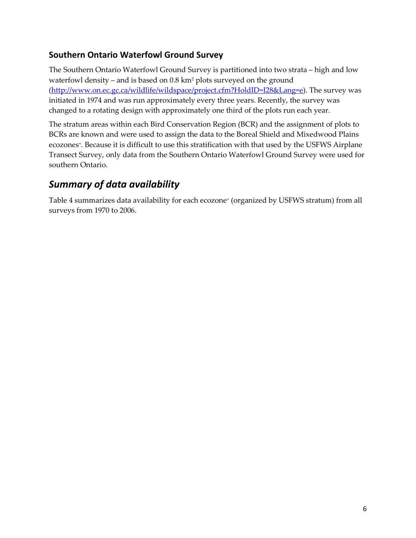#### **Southern Ontario Waterfowl Ground Survey**

The Southern Ontario Waterfowl Ground Survey is partitioned into two strata – high and low waterfowl density – and is based on  $0.8 \text{ km}^2$  plots surveyed on the ground [\(http://www.on.ec.gc.ca/wildlife/wildspace/project.cfm?HoldID=I28&Lang=e\)](http://www.on.ec.gc.ca/wildlife/wildspace/project.cfm?HoldID=I28&Lang=e). The survey was initiated in 1974 and was run approximately every three years. Recently, the survey was changed to a rotating design with approximately one third of the plots run each year.

The stratum areas within each Bird Conservation Region (BCR) and the assignment of plots to BCRs are known and were used to assign the data to the Boreal Shield and Mixedwood Plains ecozones<sup>+</sup>. Because it is difficult to use this stratification with that used by the USFWS Airplane Transect Survey, only data from the Southern Ontario Waterfowl Ground Survey were used for southern Ontario.

### <span id="page-12-0"></span>*Summary of data availability*

[Table](#page-13-0) 4 summarizes data availability for each ecozone<sup>+</sup> (organized by USFWS stratum) from all surveys from 1970 to 2006.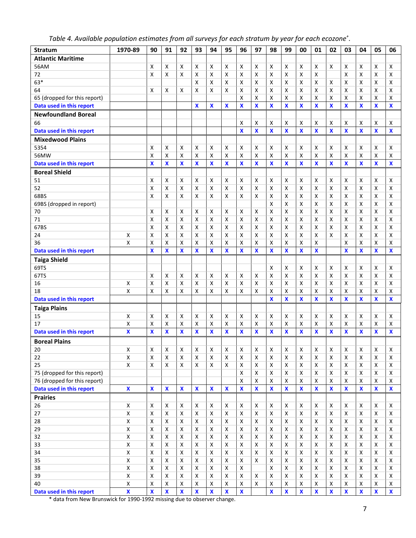<span id="page-13-0"></span>

|  | Table 4. Available population estimates from all surveys for each stratum by year for each ecozone $^{\star}.$ |  |  |  |  |  |
|--|----------------------------------------------------------------------------------------------------------------|--|--|--|--|--|

| <b>Stratum</b>               | 1970-89                 | 90                        | 91                        | 92                        | 93                        | 94                        | 95                        | 96                        | 97                        | 98                        | 99                        | 00                      | 01                        | 02                      | 03                      | 04                 | 05                        | 06                        |
|------------------------------|-------------------------|---------------------------|---------------------------|---------------------------|---------------------------|---------------------------|---------------------------|---------------------------|---------------------------|---------------------------|---------------------------|-------------------------|---------------------------|-------------------------|-------------------------|--------------------|---------------------------|---------------------------|
| <b>Atlantic Maritime</b>     |                         |                           |                           |                           |                           |                           |                           |                           |                           |                           |                           |                         |                           |                         |                         |                    |                           |                           |
| 56AM                         |                         | X                         | X                         | X                         | х                         | X                         | X                         | Χ                         | X                         | X                         | Χ                         | x                       | x                         | X                       | Χ                       | x                  | X                         | X                         |
| 72                           |                         | Χ                         | x                         | х                         | х                         | X                         | Х                         | х                         | X                         | X                         | х                         | X                       | Χ                         |                         | X                       | Χ                  | X                         | x                         |
| $63*$                        |                         |                           |                           |                           | X                         | X                         | X                         | X                         | X                         | x                         | x                         | x                       | X                         | x                       | Χ                       | x                  | X                         | X                         |
| 64                           |                         | X                         | X                         | х                         | X                         | X                         | X                         | X                         | X                         | X                         | Χ                         | X                       | Χ                         | X                       | Χ                       | Χ                  | X                         | x                         |
| 65 (dropped for this report) |                         |                           |                           |                           |                           |                           |                           | Χ                         | X                         | X                         | Χ                         | X                       | Χ                         | Χ                       | Χ                       | Χ                  | X                         | Χ                         |
| Data used in this report     |                         |                           |                           |                           | $\boldsymbol{\mathsf{x}}$ | X                         | X                         | X                         | $\boldsymbol{\mathsf{x}}$ | X                         | $\overline{\mathbf{X}}$   | $\overline{\mathbf{x}}$ | X                         | $\mathbf{x}$            | X                       | $\mathbf{x}$       | $\boldsymbol{\mathsf{X}}$ | $\boldsymbol{\mathsf{X}}$ |
| <b>Newfoundland Boreal</b>   |                         |                           |                           |                           |                           |                           |                           |                           |                           |                           |                           |                         |                           |                         |                         |                    |                           |                           |
| 66                           |                         |                           |                           |                           |                           |                           |                           | X                         | X                         | х                         | Χ                         | x                       | Χ                         | Χ                       | Χ                       | Χ                  | Χ                         | X                         |
| Data used in this report     |                         |                           |                           |                           |                           |                           |                           | X                         | $\boldsymbol{\mathsf{x}}$ | $\overline{\mathbf{x}}$   | $\overline{\mathbf{x}}$   | $\overline{\mathbf{X}}$ | $\overline{\mathbf{x}}$   | $\overline{\mathbf{X}}$ | X                       | $\mathbf{x}$       | $\mathbf x$               | $\boldsymbol{\mathsf{x}}$ |
| <b>Mixedwood Plains</b>      |                         |                           |                           |                           |                           |                           |                           |                           |                           |                           |                           |                         |                           |                         |                         |                    |                           |                           |
| 5354                         |                         | X                         | Х                         | х                         | х                         | X                         | х                         | Χ                         | X                         | Х                         | х                         | X                       | Χ                         | X                       | Χ                       | X                  | X                         | X                         |
| 56MW                         |                         | Χ                         | X                         | Χ                         | X                         | X                         | Χ                         | X                         | X                         | X                         | Χ                         | Χ                       | Χ                         | Χ                       | Χ                       | x                  | X                         | $\pmb{\mathsf{X}}$        |
| Data used in this report     |                         | X                         | $\boldsymbol{\mathsf{x}}$ | $\boldsymbol{\mathsf{x}}$ | $\boldsymbol{\mathsf{x}}$ | $\boldsymbol{\mathsf{x}}$ | X                         | $\boldsymbol{\mathsf{x}}$ | $\boldsymbol{\mathsf{x}}$ | $\boldsymbol{\mathsf{X}}$ | $\boldsymbol{\mathsf{x}}$ | $\mathbf x$             | X                         | $\mathbf{x}$            | X                       | $\mathbf x$        | $\overline{\mathbf{x}}$   | $\mathbf x$               |
| <b>Boreal Shield</b>         |                         |                           |                           |                           |                           |                           |                           |                           |                           |                           |                           |                         |                           |                         |                         |                    |                           |                           |
| 51                           |                         | Χ                         | X                         | х                         | х                         | Х                         | Х                         | х                         | Х                         | Х                         | х                         | X                       | Χ                         | Χ                       | Χ                       | x                  | X                         | X                         |
| 52                           |                         | Χ                         | x                         | X                         | X                         | X                         | X                         | Χ                         | X                         | x                         | x                         | x                       | Χ                         | X                       | Χ                       | X                  | X                         | X                         |
| 68BS                         |                         | Χ                         | х                         | x                         | х                         | X                         | X                         | X                         | X                         | X                         | Χ                         | X                       | Χ                         | Χ                       | Χ                       | Χ                  | Χ                         | X                         |
| 69BS (dropped in report)     |                         |                           |                           |                           |                           |                           |                           |                           |                           | X                         | Χ                         | X                       | Χ                         | X                       | Χ                       | Χ                  | $\pmb{\mathsf{X}}$        | Χ                         |
| 70                           |                         | Χ                         | X                         | х                         | х                         | X                         | X                         | X                         | x                         | $\pmb{\times}$            | Χ                         | X                       | Χ                         | X                       | Χ                       | X                  | $\pmb{\mathsf{X}}$        | X                         |
| 71                           |                         | Χ                         | X                         | X                         | X                         | X                         | X                         | Χ                         | $\boldsymbol{\mathsf{X}}$ | X                         | Χ                         | X                       | x                         | X                       | X                       | X                  | X                         | x                         |
| 67BS                         |                         | Χ                         | X                         | X                         | X                         | $\pmb{\mathsf{X}}$        | X                         | X                         | $\boldsymbol{\mathsf{x}}$ | $\pmb{\mathsf{X}}$        | Χ                         | $\pmb{\mathsf{X}}$      | X                         | $\pmb{\mathsf{X}}$      | X                       | Χ                  | $\pmb{\mathsf{X}}$        | X                         |
| 24                           | X                       | Χ                         | x                         | x                         | X                         | X                         | X                         | X                         | $\boldsymbol{\mathsf{x}}$ | X                         | Χ                         | X                       | Χ                         | X                       | Χ                       | X                  | X                         | x                         |
| 36                           | Χ                       | Χ                         | Χ                         | Χ                         | X                         | X                         | Χ                         | Χ                         | X                         | X                         | Χ                         | Χ                       | Χ                         |                         | Χ                       | Χ                  | $\pmb{\mathsf{X}}$        | Χ                         |
| Data used in this report     |                         | $\boldsymbol{\mathsf{X}}$ | $\boldsymbol{\mathsf{X}}$ | $\boldsymbol{\mathsf{X}}$ | $\boldsymbol{\mathsf{X}}$ | $\boldsymbol{\mathsf{x}}$ | $\boldsymbol{\mathsf{X}}$ | $\boldsymbol{\mathsf{x}}$ | $\boldsymbol{\mathsf{X}}$ | $\overline{\mathbf{X}}$   | $\boldsymbol{\mathsf{X}}$ | $\overline{\mathbf{x}}$ | $\boldsymbol{\mathsf{x}}$ |                         | $\overline{\mathbf{x}}$ | $\mathbf x$        | $\overline{\mathbf{x}}$   | $\boldsymbol{\mathsf{X}}$ |
| <b>Taiga Shield</b>          |                         |                           |                           |                           |                           |                           |                           |                           |                           |                           |                           |                         |                           |                         |                         |                    |                           |                           |
| 69TS                         |                         |                           |                           |                           |                           |                           |                           |                           |                           | X                         | х                         | X                       | Χ                         | X                       | X                       | x                  | X                         | x                         |
| 67TS                         |                         | X                         | X                         | X                         | X                         | X                         | X                         | X                         | $\boldsymbol{\mathsf{x}}$ | $\pmb{\mathsf{X}}$        | X                         | $\pmb{\mathsf{X}}$      | Χ                         | X                       | X                       | X                  | $\pmb{\mathsf{X}}$        | X                         |
| 16                           | Χ                       | Χ                         | x                         | x                         | X                         | X                         | X                         | X                         | $\boldsymbol{\mathsf{X}}$ | X                         | X                         | $\pmb{\times}$          | Χ                         | X                       | X                       | X                  | X                         | Χ                         |
| 18                           | X                       | X                         | X                         | x                         | X                         | Χ                         | X                         | X                         | x                         | X                         | Χ                         | X                       | Χ                         | Χ                       | Χ                       | Χ                  | X                         | x                         |
| Data used in this report     |                         |                           |                           |                           |                           |                           |                           |                           |                           | X                         | X                         | X                       | X                         | $\pmb{\mathsf{X}}$      | X                       | $\pmb{\mathsf{X}}$ | $\pmb{\mathsf{X}}$        | X                         |
| <b>Taiga Plains</b>          |                         |                           |                           |                           |                           |                           |                           |                           |                           |                           |                           |                         |                           |                         |                         |                    |                           |                           |
| 15                           | Χ                       | Χ                         | x                         | x                         | X                         | X                         | X                         | X                         | $\boldsymbol{\mathsf{X}}$ | $\boldsymbol{\mathsf{x}}$ | X                         | $\pmb{\times}$          | Χ                         | X                       | X                       | X                  | X                         | X                         |
| 17                           | Χ                       | Χ                         | X                         | X                         | X                         | X                         | Χ                         | X                         | X                         | X                         | X                         | X                       | Χ                         | Χ                       | X                       | Χ                  | Χ                         | X                         |
| Data used in this report     | $\mathbf{x}$            | $\boldsymbol{\mathsf{X}}$ | $\boldsymbol{\mathsf{x}}$ | $\boldsymbol{\mathsf{x}}$ | $\mathbf x$               | $\boldsymbol{\mathsf{x}}$ | $\boldsymbol{\mathsf{x}}$ | X                         | $\mathbf x$               | $\boldsymbol{\mathsf{x}}$ | X                         | $\mathbf{x}$            | $\mathbf x$               | $\mathbf x$             | $\mathbf x$             | $\mathbf{x}$       | $\mathbf x$               | $\mathbf{x}$              |
| <b>Boreal Plains</b>         |                         |                           |                           |                           |                           |                           |                           |                           |                           |                           |                           |                         |                           |                         |                         |                    |                           |                           |
| 20                           | $\pmb{\mathsf{X}}$      | X                         | X                         | X                         | X                         | X                         | X                         | X                         | X                         | X                         | X                         | X                       | X                         | X                       | X                       | Χ                  | X                         | $\pmb{\mathsf{X}}$        |
| 22                           | $\pmb{\mathsf{X}}$      | $\pmb{\mathsf{X}}$        | $\pmb{\mathsf{X}}$        | X                         | $\pmb{\times}$            | $\pmb{\mathsf{X}}$        | $\pmb{\times}$            | $\pmb{\mathsf{X}}$        | $\mathsf{X}$              | $\pmb{\mathsf{X}}$        | X                         | $\pmb{\mathsf{X}}$      | Χ                         | X                       | X                       | $\pmb{\times}$     | $\overline{\mathsf{X}}$   | X                         |
| 25                           | $\pmb{\mathsf{X}}$      | X                         | X                         | X                         | X                         | X                         | X                         | X                         | X                         | X                         | X                         | $\mathsf X$             | X                         | X                       | $\pmb{\mathsf{X}}$      | X                  | $\pmb{\mathsf{X}}$        | X                         |
| 75 (dropped for this report) |                         |                           |                           |                           |                           |                           |                           | X                         | $\boldsymbol{\mathsf{x}}$ | $\boldsymbol{\mathsf{X}}$ | $\pmb{\times}$            | $\pmb{\times}$          | $\pmb{\times}$            | X                       | X                       | $\pmb{\times}$     | X                         | $\pmb{\mathsf{X}}$        |
| 76 (dropped for this report) |                         |                           |                           |                           |                           |                           |                           | X                         | $\pmb{\mathsf{X}}$        | $\pmb{\mathsf{X}}$        | X                         | $\pmb{\mathsf{X}}$      | Χ                         | $\pmb{\mathsf{X}}$      | Χ                       | Χ                  | $\pmb{\mathsf{X}}$        | $\pmb{\mathsf{X}}$        |
| Data used in this report     | $\pmb{\mathsf{X}}$      | X                         | $\boldsymbol{\mathsf{X}}$ | $\pmb{\mathsf{X}}$        | $\boldsymbol{\mathsf{x}}$ | $\boldsymbol{\mathsf{x}}$ | $\boldsymbol{\mathsf{x}}$ | $\mathbf x$               | $\boldsymbol{\mathsf{x}}$ | $\mathbf x$               | $\pmb{\mathsf{X}}$        | $\overline{\mathbf{X}}$ | $\mathbf x$               | $\overline{\mathbf{X}}$ | $\overline{\mathbf{x}}$ | $\mathbf x$        | $\overline{\mathbf{X}}$   | $\pmb{\mathsf{X}}$        |
| <b>Prairies</b>              |                         |                           |                           |                           |                           |                           |                           |                           |                           |                           |                           |                         |                           |                         |                         |                    |                           |                           |
| 26                           | $\pmb{\mathsf{X}}$      | X                         | X                         | X                         | X                         | X                         | X                         | X                         | X                         | X                         | X                         | X                       | X                         | X                       | X                       | X                  | $\pmb{\mathsf{X}}$        | X                         |
| 27                           | X                       | X                         | $\pmb{\times}$            | X                         | $\pmb{\times}$            | $\pmb{\times}$            | $\pmb{\times}$            | $\pmb{\times}$            | $\boldsymbol{\mathsf{X}}$ | $\pmb{\times}$            | $\pmb{\times}$            | $\pmb{\mathsf{X}}$      | X                         | $\pmb{\mathsf{X}}$      | X                       | X                  | $\pmb{\mathsf{X}}$        | X                         |
| 28                           | $\pmb{\mathsf{X}}$      | X                         | X                         | X                         | X                         | X                         | X                         | X                         | X                         | X                         | X                         | X                       | X                         | X                       | X                       | X                  | $\pmb{\mathsf{X}}$        | $\pmb{\mathsf{X}}$        |
| 29                           | $\pmb{\mathsf{X}}$      | X                         | $\pmb{\times}$            | X                         | X                         | X                         | X                         | X                         | X                         | $\pmb{\times}$            | Χ                         | X                       | X                         | X                       | $\pmb{\mathsf{X}}$      | X                  | $\pmb{\mathsf{X}}$        | $\pmb{\mathsf{X}}$        |
| 32                           | $\pmb{\mathsf{X}}$      | X                         | X                         | X                         | Χ                         | X                         | Х                         | X                         | $\boldsymbol{\mathsf{X}}$ | X                         | X                         | X                       | X                         | X                       | X                       | X                  | X                         | X                         |
| 33                           | $\pmb{\mathsf{X}}$      | X                         | X                         | X                         | Χ                         | Х                         | Х                         | х                         | Х                         | X                         | X                         | X                       | x                         | X                       | Χ                       | X                  | X                         | X                         |
| 34                           | Χ                       | Χ                         | X                         | X                         | X                         | X                         | X                         | X                         | $\boldsymbol{\mathsf{x}}$ | $\pmb{\times}$            | X                         | X                       | X                         | X                       | X                       | X                  | $\mathsf X$               | $\pmb{\mathsf{X}}$        |
| 35                           | $\pmb{\mathsf{X}}$      | $\pmb{\mathsf{X}}$        | X                         | X                         | X                         | x                         | X                         | X                         | X                         | X                         | Χ                         | X                       | x                         | X                       | X                       | X                  | $\pmb{\mathsf{X}}$        | X                         |
| 38                           | $\pmb{\mathsf{X}}$      | $\pmb{\mathsf{X}}$        | X                         | X                         | X                         | X                         | X                         | X                         |                           | X                         | X                         | X                       | X                         | X                       | $\pmb{\mathsf{X}}$      | X                  | $\pmb{\mathsf{X}}$        | X                         |
| 39                           | $\overline{\mathsf{X}}$ | $\pmb{\mathsf{X}}$        | Χ                         | X                         | $\pmb{\times}$            | $\pmb{\times}$            | X                         | $\pmb{\times}$            | X                         | $\pmb{\mathsf{X}}$        | $\mathsf X$               | $\pmb{\mathsf{X}}$      | $\pmb{\mathsf{X}}$        | $\mathsf X$             | $\overline{\mathsf{X}}$ | $\mathsf{X}$       | $\overline{\mathsf{X}}$   | $\pmb{\mathsf{X}}$        |
| 40                           | $\pmb{\mathsf{X}}$      | Χ                         | X                         | X                         | X                         | X                         | X                         | X                         | $\pmb{\times}$            | X                         | X                         | X                       | X                         | X                       | Χ                       | X                  | $\pmb{\mathsf{X}}$        | X                         |
| Data used in this report     | $\pmb{\mathsf{X}}$      | $\overline{\mathbf{x}}$   | $\mathbf x$               | $\mathbf x$               | $\mathbf x$               | $\mathbf{\hat{x}}$        | $\mathbf{\hat{x}}$        | $\pmb{\mathsf{X}}$        |                           | $\overline{\mathbf{X}}$   | $\pmb{\mathsf{X}}$        | $\overline{\textbf{X}}$ | $\pmb{\mathsf{X}}$        | $\pmb{\mathsf{X}}$      | $\overline{\textbf{X}}$ | $\pmb{\mathsf{X}}$ | $\overline{\textbf{X}}$   | $\mathbf{x}$              |

\* data from New Brunswick for 1990-1992 missing due to observer change.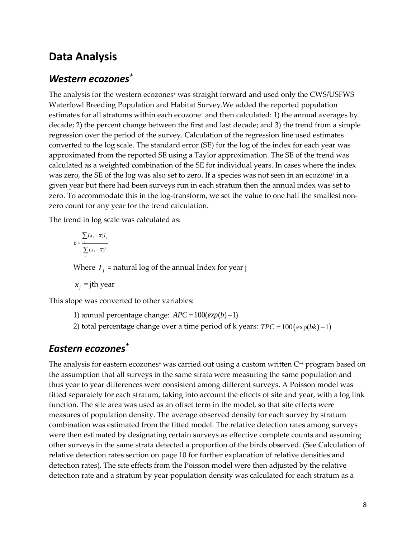### <span id="page-14-0"></span>**Data Analysis**

### <span id="page-14-1"></span>*Western ecozones +*

The analysis for the western ecozones<sup>+</sup> was straight forward and used only the CWS/USFWS Waterfowl Breeding Population and Habitat Survey.We added the reported population estimates for all stratums within each ecozone<sup>+</sup> and then calculated: 1) the annual averages by decade; 2) the percent change between the first and last decade; and 3) the trend from a simple regression over the period of the survey. Calculation of the regression line used estimates converted to the log scale. The standard error (SE) for the log of the index for each year was approximated from the reported SE using a Taylor approximation. The SE of the trend was calculated as a weighted combination of the SE for individual years. In cases where the index was zero, the SE of the log was also set to zero. If a species was not seen in an ecozone<sup>+</sup> in a given year but there had been surveys run in each stratum then the annual index was set to zero. To accommodate this in the log-transform, we set the value to one half the smallest nonzero count for any year for the trend calculation.

The trend in log scale was calculated as:

$$
b = \frac{\sum_{j} (x_j - \overline{x}) I_j}{\sum_{j} (x_j - \overline{x})^2}
$$

Where  $I_i$  = natural log of the annual Index for year j

 $x_i$  = jth year

This slope was converted to other variables:

1) annual percentage change:  $APC = 100(exp(b) - 1)$ 

2) total percentage change over a time period of k years:  $TPC = 100 (exp(bk) - 1)$ 

#### <span id="page-14-2"></span>*Eastern ecozones+*

The analysis for eastern ecozones<sup>+</sup> was carried out using a custom written  $C^+$  program based on the assumption that all surveys in the same strata were measuring the same population and thus year to year differences were consistent among different surveys. A Poisson model was fitted separately for each stratum, taking into account the effects of site and year, with a log link function. The site area was used as an offset term in the model, so that site effects were measures of population density. The average observed density for each survey by stratum combination was estimated from the fitted model. The relative detection rates among surveys were then estimated by designating certain surveys as effective complete counts and assuming other surveys in the same strata detected a proportion of the birds observed. (See [Calculation of](#page-16-1)  [relative detection rates](#page-16-1) section on page [10](#page-16-1) for further explanation of relative densities and detection rates). The site effects from the Poisson model were then adjusted by the relative detection rate and a stratum by year population density was calculated for each stratum as a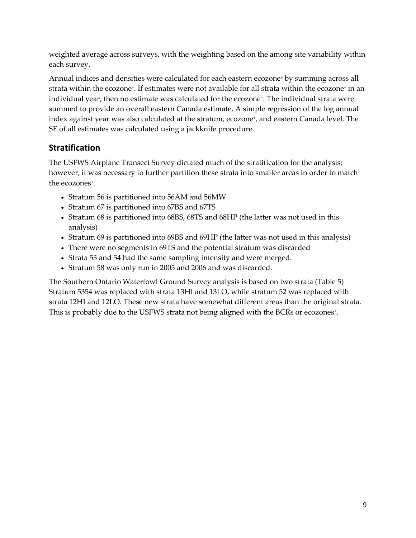weighted average across surveys, with the weighting based on the among site variability within each survey.

Annual indices and densities were calculated for each eastern ecozone<sup>+</sup> by summing across all strata within the ecozone<sup>+</sup>. If estimates were not available for all strata within the ecozone<sup>+</sup> in an individual year, then no estimate was calculated for the ecozone<sup>+</sup>. The individual strata were summed to provide an overall eastern Canada estimate. A simple regression of the log annual index against year was also calculated at the stratum, ecozone<sup>+</sup>, and eastern Canada level. The SE of all estimates was calculated using a jackknife procedure.

#### **Stratification**

The USFWS Airplane Transect Survey dictated much of the stratification for the analysis; however, it was necessary to further partition these strata into smaller areas in order to match the ecozones<sup>+</sup>.

- Stratum 56 is partitioned into 56AM and 56MW
- Stratum 67 is partitioned into 67BS and 67TS
- Stratum 68 is partitioned into 68BS, 68TS and 68HP (the latter was not used in this analysis)
- Stratum 69 is partitioned into 69BS and 69HP (the latter was not used in this analysis)
- There were no segments in 69TS and the potential stratum was discarded
- Strata 53 and 54 had the same sampling intensity and were merged.
- Stratum 58 was only run in 2005 and 2006 and was discarded.

The Southern Ontario Waterfowl Ground Survey analysis is based on two strata [\(Table](#page-16-0) 5) Stratum 5354 was replaced with strata 13HI and 13LO, while stratum 52 was replaced with strata 12HI and 12LO. These new strata have somewhat different areas than the original strata. This is probably due to the USFWS strata not being aligned with the BCRs or ecozones<sup>+</sup>.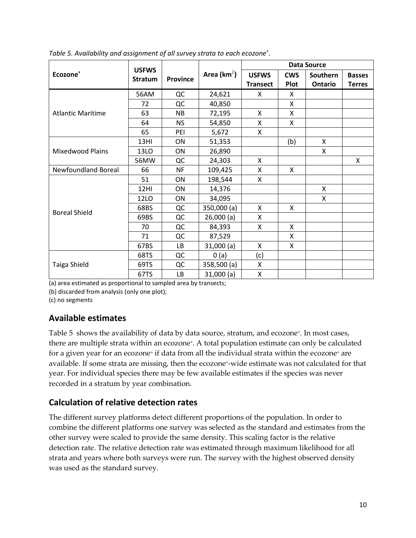|                            |                | <b>USFWS</b>    |                 |                 |            | <b>Data Source</b> |               |
|----------------------------|----------------|-----------------|-----------------|-----------------|------------|--------------------|---------------|
| Ecozone <sup>+</sup>       | <b>Stratum</b> | <b>Province</b> | Area ( $km^2$ ) | <b>USFWS</b>    | <b>CWS</b> | Southern           | <b>Basses</b> |
|                            |                |                 |                 | <b>Transect</b> | Plot       | Ontario            | <b>Terres</b> |
|                            | 56AM           | QC              | 24,621          | X               | X          |                    |               |
|                            | 72             | QC              | 40,850          |                 | X          |                    |               |
| <b>Atlantic Maritime</b>   | 63             | <b>NB</b>       | 72,195          | X               | X          |                    |               |
|                            | 64             | <b>NS</b>       | 54,850          | X               | X          |                    |               |
|                            | 65             | PEI             | 5,672           | X               |            |                    |               |
|                            | 13HI           | ON              | 51,353          |                 | (b)        | X                  |               |
| <b>Mixedwood Plains</b>    | 13LO           | ON              | 26,890          |                 |            | X                  |               |
|                            | 56MW           | QC              | 24,303          | X               |            |                    | X             |
| <b>Newfoundland Boreal</b> | 66             | <b>NF</b>       | 109,425         | X               | X          |                    |               |
|                            | 51             | ON              | 198,544         | X               |            |                    |               |
|                            | 12HI           | ON              | 14,376          |                 |            | X                  |               |
|                            | <b>12LO</b>    | ON              | 34,095          |                 |            | X                  |               |
| <b>Boreal Shield</b>       | 68BS           | QC              | 350,000 (a)     | X               | X          |                    |               |
|                            | 69BS           | QC              | 26,000(a)       | Χ               |            |                    |               |
|                            | 70             | QC              | 84,393          | X               | X          |                    |               |
|                            | 71             | QC              | 87,529          |                 | X          |                    |               |
|                            | 67BS           | LB              | 31,000(a)       | X               | X          |                    |               |
|                            | 68TS           | QC              | 0(a)            | (c)             |            |                    |               |
| Taiga Shield               | 69TS           | QC              | 358,500 (a)     | Χ               |            |                    |               |
|                            | 67TS           | <b>LB</b>       | 31,000(a)       | Χ               |            |                    |               |

<span id="page-16-0"></span>*Table 5. Availability and assignment of all survey strata to each ecozone<sup>+</sup> .*

(a) area estimated as proportional to sampled area by transects;

(b) discarded from analysis (only one plot);

(c) no segments

#### **Available estimates**

[Table](#page-16-0) 5 shows the availability of data by data source, stratum, and ecozone<sup>+</sup>. In most cases, there are multiple strata within an ecozone<sup>+</sup>. A total population estimate can only be calculated for a given year for an ecozone<sup>+</sup> if data from all the individual strata within the ecozone<sup>+</sup> are available. If some strata are missing, then the ecozone+-wide estimate was not calculated for that year. For individual species there may be few available estimates if the species was never recorded in a stratum by year combination.

#### <span id="page-16-1"></span>**Calculation of relative detection rates**

The different survey platforms detect different proportions of the population. In order to combine the different platforms one survey was selected as the standard and estimates from the other survey were scaled to provide the same density. This scaling factor is the relative detection rate. The relative detection rate was estimated through maximum likelihood for all strata and years where both surveys were run. The survey with the highest observed density was used as the standard survey.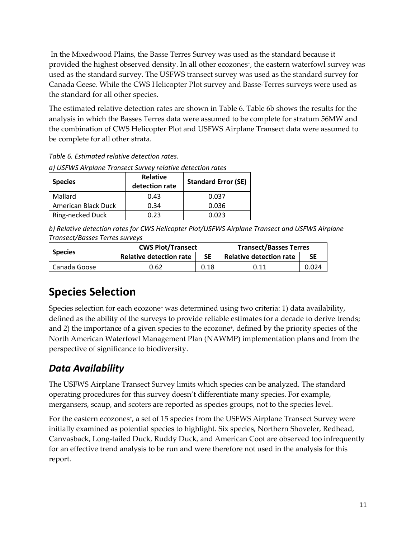In the Mixedwood Plains, the Basse Terres Survey was used as the standard because it provided the highest observed density. In all other ecozones<sup>+</sup>, the eastern waterfowl survey was used as the standard survey. The USFWS transect survey was used as the standard survey for Canada Geese. While the CWS Helicopter Plot survey and Basse-Terres surveys were used as the standard for all other species.

The estimated relative detection rates are shown in [Table](#page-17-2) 6. [Table](#page-17-2) 6b shows the results for the analysis in which the Basses Terres data were assumed to be complete for stratum 56MW and the combination of CWS Helicopter Plot and USFWS Airplane Transect data were assumed to be complete for all other strata.

<span id="page-17-2"></span>

|  | Table 6. Estimated relative detection rates. |  |  |  |
|--|----------------------------------------------|--|--|--|
|--|----------------------------------------------|--|--|--|

| <b>Species</b>      | <b>Relative</b><br>detection rate | <b>Standard Error (SE)</b> |
|---------------------|-----------------------------------|----------------------------|
| Mallard             | 0.43                              | 0.037                      |
| American Black Duck | 0.34                              | 0.036                      |
| Ring-necked Duck    | 0.23                              | 0.023                      |

*a) USFWS Airplane Transect Survey relative detection rates*

*b) Relative detection rates for CWS Helicopter Plot/USFWS Airplane Transect and USFWS Airplane Transect/Basses Terres surveys*

| <b>Species</b> | <b>CWS Plot/Transect</b>       |           | <b>Transect/Basses Terres</b>  |       |  |
|----------------|--------------------------------|-----------|--------------------------------|-------|--|
|                | <b>Relative detection rate</b> | <b>SE</b> | <b>Relative detection rate</b> | SΕ    |  |
| Canada Goose   | 0.62                           | 0.18      | 0.11                           | 0.024 |  |

# <span id="page-17-0"></span>**Species Selection**

Species selection for each ecozone<sup>+</sup> was determined using two criteria: 1) data availability, defined as the ability of the surveys to provide reliable estimates for a decade to derive trends; and 2) the importance of a given species to the ecozone+, defined by the priority species of the North American Waterfowl Management Plan (NAWMP) implementation plans and from the perspective of significance to biodiversity.

### <span id="page-17-1"></span>*Data Availability*

The USFWS Airplane Transect Survey limits which species can be analyzed. The standard operating procedures for this survey doesn't differentiate many species. For example, mergansers, scaup, and scoters are reported as species groups, not to the species level.

For the eastern ecozones<sup>+</sup>, a set of 15 species from the USFWS Airplane Transect Survey were initially examined as potential species to highlight. Six species, Northern Shoveler, Redhead, Canvasback, Long-tailed Duck, Ruddy Duck, and American Coot are observed too infrequently for an effective trend analysis to be run and were therefore not used in the analysis for this report.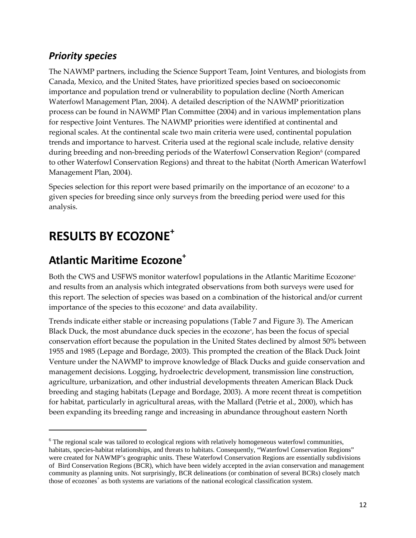### <span id="page-18-0"></span>*Priority species*

The NAWMP partners, including the Science Support Team, Joint Ventures, and biologists from Canada, Mexico, and the United States, have prioritized species based on socioeconomic importance and population trend or vulnerability to population decline (North American Waterfowl Management Plan, 2004). A detailed description of the NAWMP prioritization process can be found in NAWMP Plan Committee (2004) and in various implementation plans for respective Joint Ventures. The NAWMP priorities were identified at continental and regional scales. At the continental scale two main criteria were used, continental population trends and importance to harvest. Criteria used at the regional scale include, relative density during breeding and non-breeding periods of the Waterfowl Conservation Region<sup>[6](#page-18-3)</sup> (compared to other Waterfowl Conservation Regions) and threat to the habitat (North American Waterfowl Management Plan, 2004).

Species selection for this report were based primarily on the importance of an ecozone<sup>+</sup> to a given species for breeding since only surveys from the breeding period were used for this analysis.

# <span id="page-18-1"></span>**RESULTS BY ECOZONE+**

 $\overline{a}$ 

## <span id="page-18-2"></span>**Atlantic Maritime Ecozone+**

Both the CWS and USFWS monitor waterfowl populations in the Atlantic Maritime Ecozone<sup>+</sup> and results from an analysis which integrated observations from both surveys were used for this report. The selection of species was based on a combination of the historical and/or current importance of the species to this ecozone<sup>+</sup> and data availability.

Trends indicate either stable or increasing populations [\(Table](#page-19-1) 7 and [Figure](#page-19-0) 3). The American Black Duck, the most abundance duck species in the ecozone+, has been the focus of special conservation effort because the population in the United States declined by almost 50% between 1955 and 1985 (Lepage and Bordage, 2003). This prompted the creation of the Black Duck Joint Venture under the NAWMP to improve knowledge of Black Ducks and guide conservation and management decisions. Logging, hydroelectric development, transmission line construction, agriculture, urbanization, and other industrial developments threaten American Black Duck breeding and staging habitats (Lepage and Bordage, 2003). A more recent threat is competition for habitat, particularly in agricultural areas, with the Mallard (Petrie et al., 2000), which has been expanding its breeding range and increasing in abundance throughout eastern North

<span id="page-18-3"></span><sup>&</sup>lt;sup>6</sup> The regional scale was tailored to ecological regions with relatively homogeneous waterfowl communities, habitats, species-habitat relationships, and threats to habitats. Consequently, "Waterfowl Conservation Regions" were created for NAWMP's geographic units. These Waterfowl Conservation Regions are essentially subdivisions of Bird Conservation Regions (BCR), which have been widely accepted in the avian conservation and management community as planning units. Not surprisingly, BCR delineations (or combination of several BCRs) closely match those of ecozones<sup>+</sup> as both systems are variations of the national ecological classification system.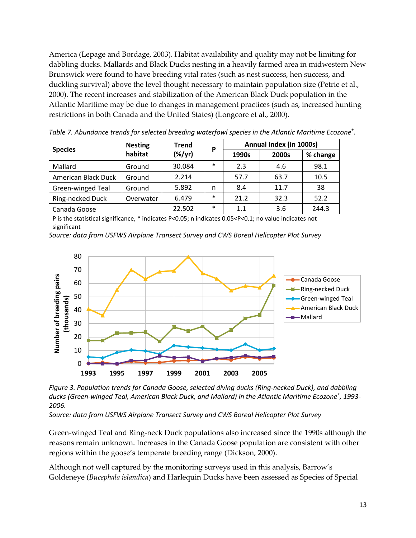America (Lepage and Bordage, 2003). Habitat availability and quality may not be limiting for dabbling ducks. Mallards and Black Ducks nesting in a heavily farmed area in midwestern New Brunswick were found to have breeding vital rates (such as nest success, hen success, and duckling survival) above the level thought necessary to maintain population size (Petrie et al., 2000). The recent increases and stabilization of the American Black Duck population in the Atlantic Maritime may be due to changes in management practices (such as, increased hunting restrictions in both Canada and the United States) (Longcore et al., 2000).

| <b>Species</b>          | <b>Nesting</b> | <b>Trend</b> | P      | Annual Index (in 1000s) |       |          |  |  |  |  |
|-------------------------|----------------|--------------|--------|-------------------------|-------|----------|--|--|--|--|
|                         | habitat        | $(\%/yr)$    |        | 1990s                   | 2000s | % change |  |  |  |  |
| Mallard                 | Ground         | 30.084       | $\ast$ | 2.3                     | 4.6   | 98.1     |  |  |  |  |
| American Black Duck     | Ground         | 2.214        |        | 57.7                    | 63.7  | 10.5     |  |  |  |  |
| Green-winged Teal       | Ground         | 5.892        | n      | 8.4                     | 11.7  | 38       |  |  |  |  |
| <b>Ring-necked Duck</b> | Overwater      | 6.479        | $\ast$ | 21.2                    | 32.3  | 52.2     |  |  |  |  |
| Canada Goose            |                | 22.502       | ∗      | 1.1                     | 3.6   | 244.3    |  |  |  |  |

<span id="page-19-1"></span>*Table 7. Abundance trends for selected breeding waterfowl species in the Atlantic Maritime Ecozone<sup>+</sup> .*

P is the statistical significance, \* indicates P<0.05; n indicates 0.05<P<0.1; no value indicates not significant

*Source: data from USFWS Airplane Transect Survey and CWS Boreal Helicopter Plot Survey*



<span id="page-19-0"></span>*Figure 3. Population trends for Canada Goose, selected diving ducks (Ring-necked Duck), and dabbling ducks (Green-winged Teal, American Black Duck, and Mallard) in the Atlantic Maritime Ecozone<sup>+</sup> , 1993- 2006.*

*Source: data from USFWS Airplane Transect Survey and CWS Boreal Helicopter Plot Survey*

Green-winged Teal and Ring-neck Duck populations also increased since the 1990s although the reasons remain unknown. Increases in the Canada Goose population are consistent with other regions within the goose's temperate breeding range (Dickson, 2000).

Although not well captured by the monitoring surveys used in this analysis, Barrow's Goldeneye (*Bucephala islandica*) and Harlequin Ducks have been assessed as Species of Special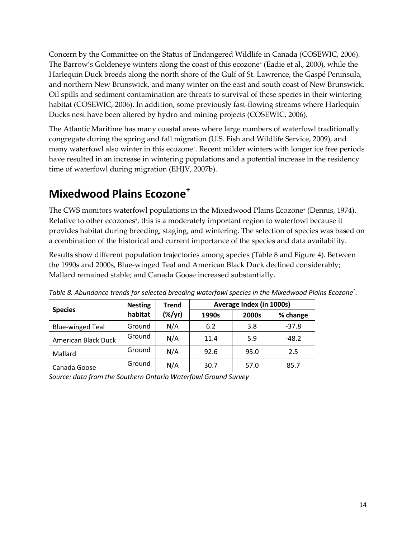Concern by the Committee on the Status of Endangered Wildlife in Canada (COSEWIC, 2006). The Barrow's Goldeneye winters along the coast of this ecozone<sup>+</sup> (Eadie et al., 2000), while the Harlequin Duck breeds along the north shore of the Gulf of St. Lawrence, the Gaspé Peninsula, and northern New Brunswick, and many winter on the east and south coast of New Brunswick. Oil spills and sediment contamination are threats to survival of these species in their wintering habitat (COSEWIC, 2006). In addition, some previously fast-flowing streams where Harlequin Ducks nest have been altered by hydro and mining projects (COSEWIC, 2006).

The Atlantic Maritime has many coastal areas where large numbers of waterfowl traditionally congregate during the spring and fall migration (U.S. Fish and Wildlife Service, 2009), and many waterfowl also winter in this ecozone<sup>+</sup>. Recent milder winters with longer ice free periods have resulted in an increase in wintering populations and a potential increase in the residency time of waterfowl during migration (EHJV, 2007b).

# <span id="page-20-0"></span>**Mixedwood Plains Ecozone<sup>+</sup>**

The CWS monitors waterfowl populations in the Mixedwood Plains Ecozone<sup>+</sup> (Dennis, 1974). Relative to other ecozones<sup>+</sup>, this is a moderately important region to waterfowl because it provides habitat during breeding, staging, and wintering. The selection of species was based on a combination of the historical and current importance of the species and data availability.

Results show different population trajectories among species [\(Table](#page-20-1) 8 and [Figure](#page-21-0) 4). Between the 1990s and 2000s, Blue-winged Teal and American Black Duck declined considerably; Mallard remained stable; and Canada Goose increased substantially.

|                         | <b>Trend</b><br><b>Nesting</b><br>(%/yr)<br>habitat |     | Average Index (in 1000s) |       |          |  |  |  |
|-------------------------|-----------------------------------------------------|-----|--------------------------|-------|----------|--|--|--|
| <b>Species</b>          |                                                     |     | 1990s                    | 2000s | % change |  |  |  |
| <b>Blue-winged Teal</b> | Ground                                              | N/A | 6.2                      | 3.8   | $-37.8$  |  |  |  |
| American Black Duck     | Ground                                              | N/A | 11.4                     | 5.9   | $-48.2$  |  |  |  |
| Mallard                 | Ground                                              | N/A | 92.6                     | 95.0  | 2.5      |  |  |  |
| Canada Goose            | Ground                                              | N/A | 30.7                     | 57.0  | 85.7     |  |  |  |

<span id="page-20-1"></span>*Table 8. Abundance trends for selected breeding waterfowl species in the Mixedwood Plains Ecozone<sup>+</sup> .*

*Source: data from the Southern Ontario Waterfowl Ground Survey*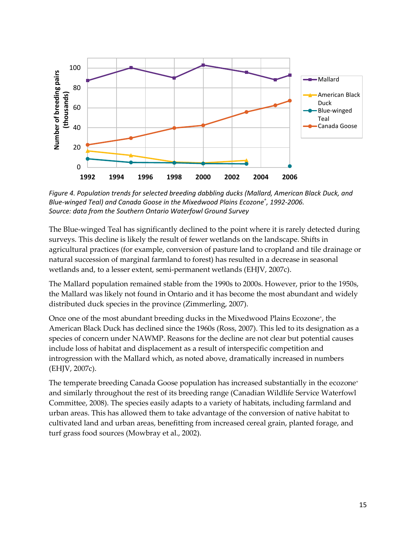

<span id="page-21-0"></span>*Figure 4. Population trends for selected breeding dabbling ducks (Mallard, American Black Duck, and Blue-winged Teal) and Canada Goose in the Mixedwood Plains Ecozone<sup>+</sup> , 1992-2006. Source: data from the Southern Ontario Waterfowl Ground Survey*

The Blue-winged Teal has significantly declined to the point where it is rarely detected during surveys. This decline is likely the result of fewer wetlands on the landscape. Shifts in agricultural practices (for example, conversion of pasture land to cropland and tile drainage or natural succession of marginal farmland to forest) has resulted in a decrease in seasonal wetlands and, to a lesser extent, semi-permanent wetlands (EHJV, 2007c).

The Mallard population remained stable from the 1990s to 2000s. However, prior to the 1950s, the Mallard was likely not found in Ontario and it has become the most abundant and widely distributed duck species in the province (Zimmerling, 2007).

Once one of the most abundant breeding ducks in the Mixedwood Plains Ecozone<sup>+</sup>, the American Black Duck has declined since the 1960s (Ross, 2007). This led to its designation as a species of concern under NAWMP. Reasons for the decline are not clear but potential causes include loss of habitat and displacement as a result of interspecific competition and introgression with the Mallard which, as noted above, dramatically increased in numbers (EHJV, 2007c).

The temperate breeding Canada Goose population has increased substantially in the ecozone<sup>+</sup> and similarly throughout the rest of its breeding range (Canadian Wildlife Service Waterfowl Committee, 2008). The species easily adapts to a variety of habitats, including farmland and urban areas. This has allowed them to take advantage of the conversion of native habitat to cultivated land and urban areas, benefitting from increased cereal grain, planted forage, and turf grass food sources (Mowbray et al., 2002).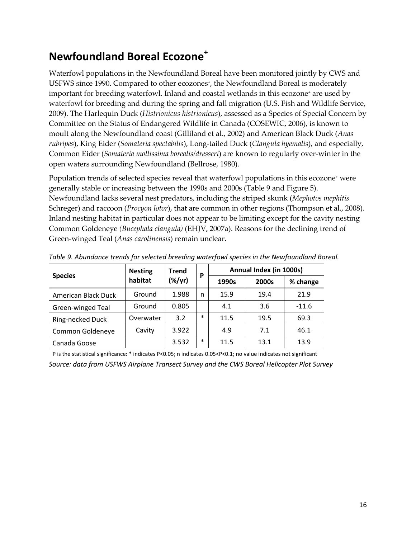# <span id="page-22-0"></span>**Newfoundland Boreal Ecozone<sup>+</sup>**

Waterfowl populations in the Newfoundland Boreal have been monitored jointly by CWS and USFWS since 1990. Compared to other ecozones<sup>+</sup>, the Newfoundland Boreal is moderately important for breeding waterfowl. Inland and coastal wetlands in this ecozone<sup>+</sup> are used by waterfowl for breeding and during the spring and fall migration (U.S. Fish and Wildlife Service, 2009). The Harlequin Duck (*Histrionicus histrionicus*), assessed as a Species of Special Concern by Committee on the Status of Endangered Wildlife in Canada (COSEWIC, 2006), is known to moult along the Newfoundland coast (Gilliland et al., 2002) and American Black Duck (*Anas rubripes*), King Eider (*Somateria spectabilis*), Long-tailed Duck (*Clangula hyemalis*), and especially, Common Eider (*Somateria mollissima borealis/dresseri*) are known to regularly over-winter in the open waters surrounding Newfoundland (Bellrose, 1980).

Population trends of selected species reveal that waterfowl populations in this ecozone<sup>+</sup> were generally stable or increasing between the 1990s and 2000s [\(Table](#page-22-1) 9 and [Figure](#page-23-1) 5). Newfoundland lacks several nest predators, including the striped skunk (*Mephotos mephitis* Schreger) and raccoon (*Procyon lotor*), that are common in other regions (Thompson et al., 2008). Inland nesting habitat in particular does not appear to be limiting except for the cavity nesting Common Goldeneye *(Bucephala clangula)* (EHJV, 2007a). Reasons for the declining trend of Green-winged Teal (*Anas carolinensis*) remain unclear.

|                     | <b>Nesting</b><br>Trend |           | P      | Annual Index (in 1000s) |       |          |  |  |
|---------------------|-------------------------|-----------|--------|-------------------------|-------|----------|--|--|
| <b>Species</b>      | habitat                 | $(\%/yr)$ |        | 1990s                   | 2000s | % change |  |  |
| American Black Duck | Ground                  | 1.988     | n      | 15.9                    | 19.4  | 21.9     |  |  |
| Green-winged Teal   | Ground                  | 0.805     |        | 4.1                     | 3.6   | $-11.6$  |  |  |
| Ring-necked Duck    | Overwater               | 3.2       | $\ast$ | 11.5                    | 19.5  | 69.3     |  |  |
| Common Goldeneye    | Cavity                  | 3.922     |        | 4.9                     | 7.1   | 46.1     |  |  |
| Canada Goose        |                         | 3.532     | $\ast$ | 11.5                    | 13.1  | 13.9     |  |  |

<span id="page-22-1"></span>*Table 9. Abundance trends for selected breeding waterfowl species in the Newfoundland Boreal.*

P is the statistical significance: \* indicates P<0.05; n indicates 0.05<P<0.1; no value indicates not significant *Source: data from USFWS Airplane Transect Survey and the CWS Boreal Helicopter Plot Survey*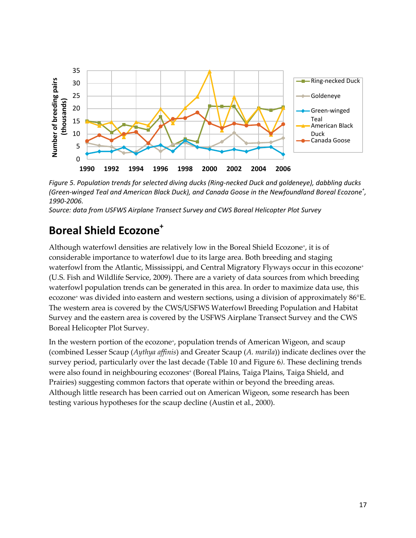

<span id="page-23-1"></span>*Figure 5. Population trends for selected diving ducks (Ring-necked Duck and goldeneye), dabbling ducks (Green-winged Teal and American Black Duck), and Canada Goose in the Newfoundland Boreal Ecozone<sup>+</sup> , 1990-2006.*

<span id="page-23-0"></span>*Source: data from USFWS Airplane Transect Survey and CWS Boreal Helicopter Plot Survey*

### **Boreal Shield Ecozone<sup>+</sup>**

Although waterfowl densities are relatively low in the Boreal Shield Ecozone+, it is of considerable importance to waterfowl due to its large area. Both breeding and staging waterfowl from the Atlantic, Mississippi, and Central Migratory Flyways occur in this ecozone<sup>+</sup> (U.S. Fish and Wildlife Service, 2009). There are a variety of data sources from which breeding waterfowl population trends can be generated in this area. In order to maximize data use, this ecozone<sup>+</sup> was divided into eastern and western sections, using a division of approximately 86°E. The western area is covered by the CWS/USFWS Waterfowl Breeding Population and Habitat Survey and the eastern area is covered by the USFWS Airplane Transect Survey and the CWS Boreal Helicopter Plot Survey.

In the western portion of the ecozone<sup>+</sup>, population trends of American Wigeon, and scaup (combined Lesser Scaup (*Aythya affinis*) and Greater Scaup (*A. marila*)) indicate declines over the survey period, particularly over the last decade [\(Table](#page-24-1) 10 and [Figure](#page-24-0) 6*).* These declining trends were also found in neighbouring ecozones<sup>+</sup> (Boreal Plains, Taiga Plains, Taiga Shield, and Prairies) suggesting common factors that operate within or beyond the breeding areas. Although little research has been carried out on American Wigeon, some research has been testing various hypotheses for the scaup decline (Austin et al., 2000).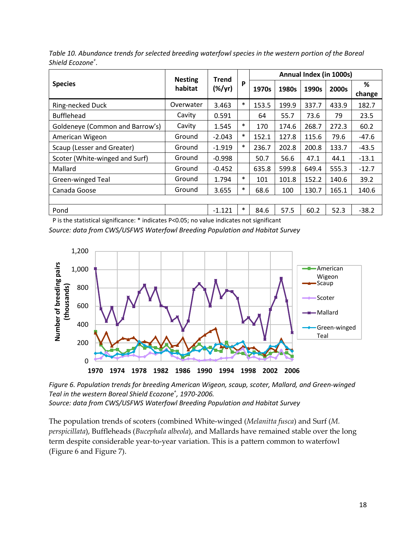|                                 | <b>Nesting</b> | Trend     |        |       |       |       | Annual Index (in 1000s) |             |
|---------------------------------|----------------|-----------|--------|-------|-------|-------|-------------------------|-------------|
| <b>Species</b>                  | habitat        | $(\%/yr)$ | P      | 1970s | 1980s | 1990s | 2000s                   | %<br>change |
| Ring-necked Duck                | Overwater      | 3.463     | $\ast$ | 153.5 | 199.9 | 337.7 | 433.9                   | 182.7       |
| <b>Bufflehead</b>               | Cavity         | 0.591     |        | 64    | 55.7  | 73.6  | 79                      | 23.5        |
| Goldeneye (Common and Barrow's) | Cavity         | 1.545     | $\ast$ | 170   | 174.6 | 268.7 | 272.3                   | 60.2        |
| American Wigeon                 | Ground         | $-2.043$  | $\ast$ | 152.1 | 127.8 | 115.6 | 79.6                    | $-47.6$     |
| Scaup (Lesser and Greater)      | Ground         | $-1.919$  | $\ast$ | 236.7 | 202.8 | 200.8 | 133.7                   | $-43.5$     |
| Scoter (White-winged and Surf)  | Ground         | $-0.998$  |        | 50.7  | 56.6  | 47.1  | 44.1                    | $-13.1$     |
| Mallard                         | Ground         | $-0.452$  |        | 635.8 | 599.8 | 649.4 | 555.3                   | $-12.7$     |
| Green-winged Teal               | Ground         | 1.794     | $\ast$ | 101   | 101.8 | 152.2 | 140.6                   | 39.2        |
| Canada Goose                    | Ground         | 3.655     | $\ast$ | 68.6  | 100   | 130.7 | 165.1                   | 140.6       |
|                                 |                |           |        |       |       |       |                         |             |
| Pond                            |                | $-1.121$  | $\ast$ | 84.6  | 57.5  | 60.2  | 52.3                    | $-38.2$     |

<span id="page-24-1"></span>*Table 10. Abundance trends for selected breeding waterfowl species in the western portion of the Boreal Shield Ecozone<sup>+</sup> .*

P is the statistical significance: \* indicates P<0.05; no value indicates not significant *Source: data from CWS/USFWS Waterfowl Breeding Population and Habitat Survey*



<span id="page-24-0"></span>*Figure 6. Population trends for breeding American Wigeon, scaup, scoter, Mallard, and Green-winged Teal in the western Boreal Shield Ecozone<sup>+</sup> , 1970-2006. Source: data from CWS/USFWS Waterfowl Breeding Population and Habitat Survey*

The population trends of scoters (combined White-winged (*Melanitta fusca*) and Surf (*M. perspicillata*), Buffleheads (*Bucephala albeola*), and Mallards have remained stable over the long term despite considerable year-to-year variation. This is a pattern common to waterfowl [\(Figure](#page-24-0) 6 an[d Figure](#page-25-0) 7).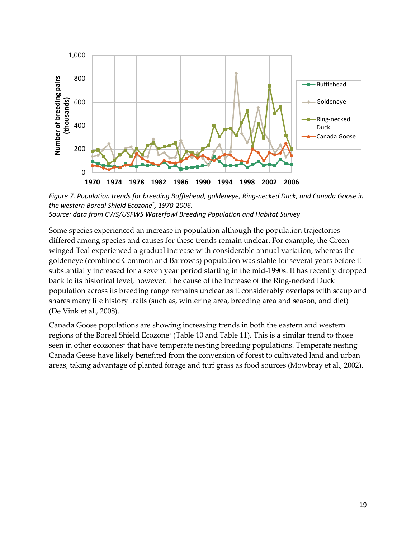

<span id="page-25-0"></span>*Figure 7. Population trends for breeding Bufflehead, goldeneye, Ring-necked Duck, and Canada Goose in the western Boreal Shield Ecozone<sup>+</sup> , 1970-2006. Source: data from CWS/USFWS Waterfowl Breeding Population and Habitat Survey*

Some species experienced an increase in population although the population trajectories differed among species and causes for these trends remain unclear. For example, the Greenwinged Teal experienced a gradual increase with considerable annual variation, whereas the goldeneye (combined Common and Barrow's) population was stable for several years before it substantially increased for a seven year period starting in the mid-1990s. It has recently dropped back to its historical level, however. The cause of the increase of the Ring-necked Duck population across its breeding range remains unclear as it considerably overlaps with scaup and shares many life history traits (such as, wintering area, breeding area and season, and diet) (De Vink et al., 2008).

Canada Goose populations are showing increasing trends in both the eastern and western regions of the Boreal Shield Ecozone<sup>+</sup> [\(Table](#page-24-1) 10 and [Table](#page-26-0) 11). This is a similar trend to those seen in other ecozones<sup>+</sup> that have temperate nesting breeding populations. Temperate nesting Canada Geese have likely benefited from the conversion of forest to cultivated land and urban areas, taking advantage of planted forage and turf grass as food sources (Mowbray et al., 2002).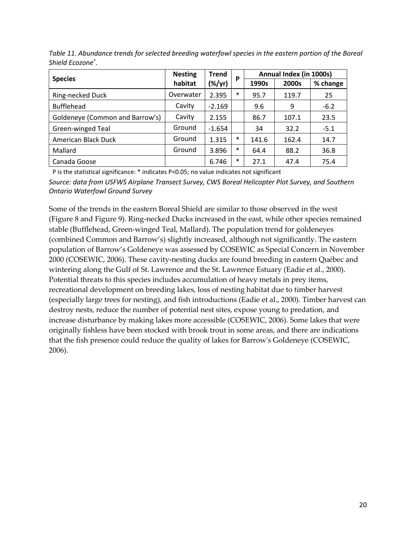|                                 | <b>Nesting</b> | <b>Trend</b>    | P      | Annual Index (in 1000s) |       |          |  |
|---------------------------------|----------------|-----------------|--------|-------------------------|-------|----------|--|
| <b>Species</b>                  | habitat        | $(\frac{8}{y})$ |        | 1990s                   | 2000s | % change |  |
| Ring-necked Duck                | Overwater      | 2.395           | $\ast$ | 95.7                    | 119.7 | 25       |  |
| <b>Bufflehead</b>               | Cavity         | $-2.169$        |        | 9.6                     | 9     | $-6.2$   |  |
| Goldeneye (Common and Barrow's) | Cavity         | 2.155           |        | 86.7                    | 107.1 | 23.5     |  |
| Green-winged Teal               | Ground         | $-1.654$        |        | 34                      | 32.2  | $-5.1$   |  |
| American Black Duck             | Ground         | 1.315           | *      | 141.6                   | 162.4 | 14.7     |  |
| Mallard                         | Ground         | 3.896           | $\ast$ | 64.4                    | 88.2  | 36.8     |  |
| Canada Goose                    |                | 6.746           | *      | 27.1                    | 47.4  | 75.4     |  |

<span id="page-26-0"></span>*Table 11. Abundance trends for selected breeding waterfowl species in the eastern portion of the Boreal Shield Ecozone<sup>+</sup> .*

P is the statistical significance: \* indicates P<0.05; no value indicates not significant *Source: data from USFWS Airplane Transect Survey, CWS Boreal Helicopter Plot Survey, and Southern Ontario Waterfowl Ground Survey*

Some of the trends in the eastern Boreal Shield are similar to those observed in the west [\(Figure](#page-27-0) 8 an[d Figure](#page-27-1) 9). Ring-necked Ducks increased in the east, while other species remained stable (Bufflehead, Green-winged Teal, Mallard). The population trend for goldeneyes (combined Common and Barrow's) slightly increased, although not significantly. The eastern population of Barrow's Goldeneye was assessed by COSEWIC as Special Concern in November 2000 (COSEWIC, 2006). These cavity-nesting ducks are found breeding in eastern Québec and wintering along the Gulf of St. Lawrence and the St. Lawrence Estuary (Eadie et al., 2000). Potential threats to this species includes accumulation of heavy metals in prey items, recreational development on breeding lakes, loss of nesting habitat due to timber harvest (especially large trees for nesting), and fish introductions (Eadie et al., 2000). Timber harvest can destroy nests, reduce the number of potential nest sites, expose young to predation, and increase disturbance by making lakes more accessible (COSEWIC, 2006). Some lakes that were originally fishless have been stocked with brook trout in some areas, and there are indications that the fish presence could reduce the quality of lakes for Barrow's Goldeneye (COSEWIC, 2006).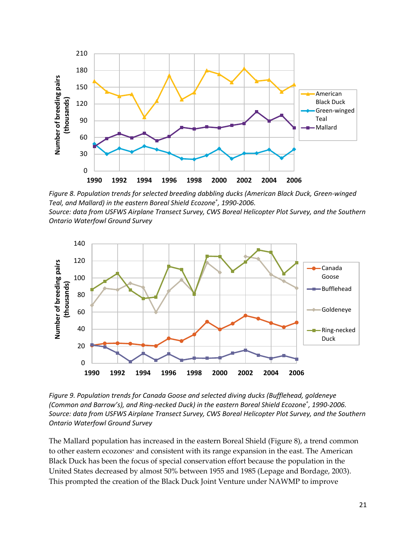

<span id="page-27-0"></span>*Figure 8. Population trends for selected breeding dabbling ducks (American Black Duck, Green-winged Teal, and Mallard) in the eastern Boreal Shield Ecozone<sup>+</sup> , 1990-2006. Source: data from USFWS Airplane Transect Survey, CWS Boreal Helicopter Plot Survey, and the Southern Ontario Waterfowl Ground Survey*



<span id="page-27-1"></span>*Figure 9. Population trends for Canada Goose and selected diving ducks (Bufflehead, goldeneye (Common and Barrow's), and Ring-necked Duck) in the eastern Boreal Shield Ecozone<sup>+</sup> , 1990-2006. Source: data from USFWS Airplane Transect Survey, CWS Boreal Helicopter Plot Survey, and the Southern Ontario Waterfowl Ground Survey*

The Mallard population has increased in the eastern Boreal Shield [\(Figure](#page-27-0) 8), a trend common to other eastern ecozones<sup>+</sup> and consistent with its range expansion in the east. The American Black Duck has been the focus of special conservation effort because the population in the United States decreased by almost 50% between 1955 and 1985 (Lepage and Bordage, 2003). This prompted the creation of the Black Duck Joint Venture under NAWMP to improve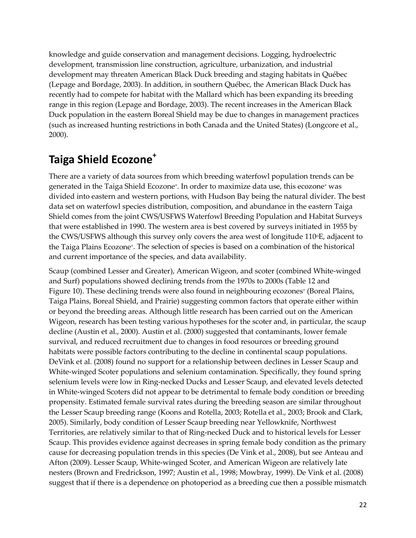knowledge and guide conservation and management decisions. Logging, hydroelectric development, transmission line construction, agriculture, urbanization, and industrial development may threaten American Black Duck breeding and staging habitats in Québec (Lepage and Bordage, 2003). In addition, in southern Québec, the American Black Duck has recently had to compete for habitat with the Mallard which has been expanding its breeding range in this region (Lepage and Bordage, 2003). The recent increases in the American Black Duck population in the eastern Boreal Shield may be due to changes in management practices (such as increased hunting restrictions in both Canada and the United States) (Longcore et al., 2000).

# <span id="page-28-0"></span>**Taiga Shield Ecozone+**

There are a variety of data sources from which breeding waterfowl population trends can be generated in the Taiga Shield Ecozone<sup>+</sup>. In order to maximize data use, this ecozone<sup>+</sup> was divided into eastern and western portions, with Hudson Bay being the natural divider. The best data set on waterfowl species distribution, composition, and abundance in the eastern Taiga Shield comes from the joint CWS/USFWS Waterfowl Breeding Population and Habitat Surveys that were established in 1990. The western area is best covered by surveys initiated in 1955 by the CWS/USFWS although this survey only covers the area west of longitude  $110\textdegree$ E, adjacent to the Taiga Plains Ecozone+. The selection of species is based on a combination of the historical and current importance of the species, and data availability.

Scaup (combined Lesser and Greater), American Wigeon, and scoter (combined White-winged and Surf) populations showed declining trends from the 1970s to 2000s [\(Table](#page-29-1) 12 and [Figure](#page-29-0) 10). These declining trends were also found in neighbouring ecozones<sup>+</sup> (Boreal Plains, Taiga Plains, Boreal Shield, and Prairie) suggesting common factors that operate either within or beyond the breeding areas. Although little research has been carried out on the American Wigeon, research has been testing various hypotheses for the scoter and, in particular, the scaup decline (Austin et al., 2000). Austin et al. (2000) suggested that contaminants, lower female survival, and reduced recruitment due to changes in food resources or breeding ground habitats were possible factors contributing to the decline in continental scaup populations. DeVink et al. (2008) found no support for a relationship between declines in Lesser Scaup and White-winged Scoter populations and selenium contamination. Specifically, they found spring selenium levels were low in Ring-necked Ducks and Lesser Scaup, and elevated levels detected in White-winged Scoters did not appear to be detrimental to female body condition or breeding propensity. Estimated female survival rates during the breeding season are similar throughout the Lesser Scaup breeding range (Koons and Rotella, 2003; Rotella et al., 2003; Brook and Clark, 2005). Similarly, body condition of Lesser Scaup breeding near Yellowknife, Northwest Territories, are relatively similar to that of Ring-necked Duck and to historical levels for Lesser Scaup. This provides evidence against decreases in spring female body condition as the primary cause for decreasing population trends in this species (De Vink et al., 2008), but see Anteau and Afton (2009). Lesser Scaup, White-winged Scoter, and American Wigeon are relatively late nesters (Brown and Fredrickson, 1997; Austin et al., 1998; Mowbray, 1999). De Vink et al. (2008) suggest that if there is a dependence on photoperiod as a breeding cue then a possible mismatch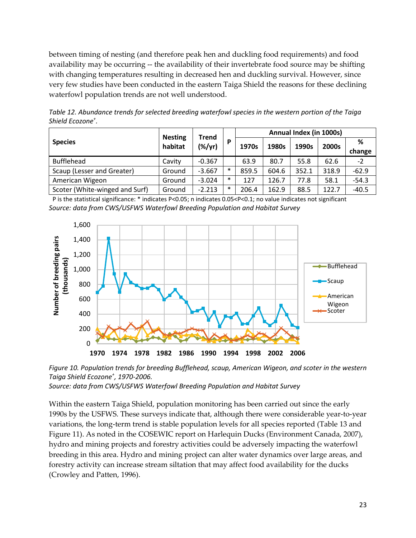between timing of nesting (and therefore peak hen and duckling food requirements) and food availability may be occurring -- the availability of their invertebrate food source may be shifting with changing temperatures resulting in decreased hen and duckling survival. However, since very few studies have been conducted in the eastern Taiga Shield the reasons for these declining waterfowl population trends are not well understood.

<span id="page-29-1"></span>*Table 12. Abundance trends for selected breeding waterfowl species in the western portion of the Taiga Shield Ecozone<sup>+</sup> .*

|                                |                           | <b>Trend</b> |        | Annual Index (in 1000s) |       |       |       |         |  |
|--------------------------------|---------------------------|--------------|--------|-------------------------|-------|-------|-------|---------|--|
| <b>Species</b>                 | <b>Nesting</b><br>habitat | (%/yr)       | D      | 1970s                   | 1980s | 1990s | 2000s | ℅       |  |
|                                |                           |              |        |                         |       |       |       | change  |  |
| <b>Bufflehead</b>              | Cavity                    | $-0.367$     |        | 63.9                    | 80.7  | 55.8  | 62.6  | $-2$    |  |
| Scaup (Lesser and Greater)     | Ground                    | $-3.667$     | $\ast$ | 859.5                   | 604.6 | 352.1 | 318.9 | $-62.9$ |  |
| American Wigeon                | Ground                    | $-3.024$     | $\ast$ | 127                     | 126.7 | 77.8  | 58.1  | $-54.3$ |  |
| Scoter (White-winged and Surf) | Ground                    | $-2.213$     | $\ast$ | 206.4                   | 162.9 | 88.5  | 122.7 | $-40.5$ |  |

P is the statistical significance: \* indicates P<0.05; n indicates 0.05<P<0.1; no value indicates not significant *Source: data from CWS/USFWS Waterfowl Breeding Population and Habitat Survey*



<span id="page-29-0"></span>*Figure 10. Population trends for breeding Bufflehead, scaup, American Wigeon, and scoter in the western Taiga Shield Ecozone<sup>+</sup> , 1970-2006.*

*Source: data from CWS/USFWS Waterfowl Breeding Population and Habitat Survey*

Within the eastern Taiga Shield, population monitoring has been carried out since the early 1990s by the USFWS. These surveys indicate that, although there were considerable year-to-year variations, the long-term trend is stable population levels for all species reported [\(Table](#page-30-2) 13 and [Figure](#page-30-1) 11). As noted in the COSEWIC report on Harlequin Ducks (Environment Canada, 2007), hydro and mining projects and forestry activities could be adversely impacting the waterfowl breeding in this area. Hydro and mining project can alter water dynamics over large areas, and forestry activity can increase stream siltation that may affect food availability for the ducks (Crowley and Patten, 1996).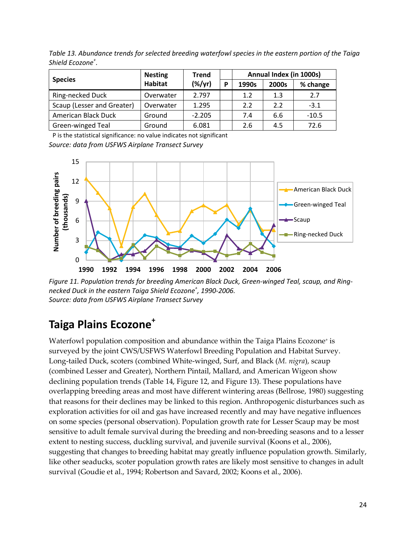|                            | <b>Nesting</b> | <b>Trend</b> |   | Annual Index (in 1000s) |       |          |  |
|----------------------------|----------------|--------------|---|-------------------------|-------|----------|--|
| <b>Species</b>             | <b>Habitat</b> | $(\%/yr)$    | D | 1990s                   | 2000s | % change |  |
| Ring-necked Duck           | Overwater      | 2.797        |   | 1.2                     | 1.3   | 2.7      |  |
| Scaup (Lesser and Greater) | Overwater      | 1.295        |   | 2.2                     | 2.2   | $-3.1$   |  |
| American Black Duck        | Ground         | $-2.205$     |   | 7.4                     | 6.6   | $-10.5$  |  |
| Green-winged Teal          | Ground         | 6.081        |   | 2.6                     | 4.5   | 72.6     |  |

<span id="page-30-2"></span>*Table 13. Abundance trends for selected breeding waterfowl species in the eastern portion of the Taiga Shield Ecozone<sup>+</sup> .*

P is the statistical significance: no value indicates not significant *Source: data from USFWS Airplane Transect Survey*



<span id="page-30-1"></span>*Figure 11. Population trends for breeding American Black Duck, Green-winged Teal, scaup, and Ringnecked Duck in the eastern Taiga Shield Ecozone<sup>+</sup> , 1990-2006. Source: data from USFWS Airplane Transect Survey*

## <span id="page-30-0"></span>**Taiga Plains Ecozone+**

Waterfowl population composition and abundance within the Taiga Plains Ecozone<sup>+</sup> is surveyed by the joint CWS/USFWS Waterfowl Breeding Population and Habitat Survey. Long-tailed Duck, scoters (combined White-winged, Surf, and Black (*M. nigra*), scaup (combined Lesser and Greater), Northern Pintail, Mallard, and American Wigeon show declining population trends [\(Table](#page-31-1) 14, [Figure](#page-31-0) 12, and [Figure](#page-32-0) 13). These populations have overlapping breeding areas and most have different wintering areas (Bellrose, 1980) suggesting that reasons for their declines may be linked to this region. Anthropogenic disturbances such as exploration activities for oil and gas have increased recently and may have negative influences on some species (personal observation). Population growth rate for Lesser Scaup may be most sensitive to adult female survival during the breeding and non-breeding seasons and to a lesser extent to nesting success, duckling survival, and juvenile survival (Koons et al., 2006), suggesting that changes to breeding habitat may greatly influence population growth. Similarly, like other seaducks, scoter population growth rates are likely most sensitive to changes in adult survival (Goudie et al., 1994; Robertson and Savard, 2002; Koons et al., 2006).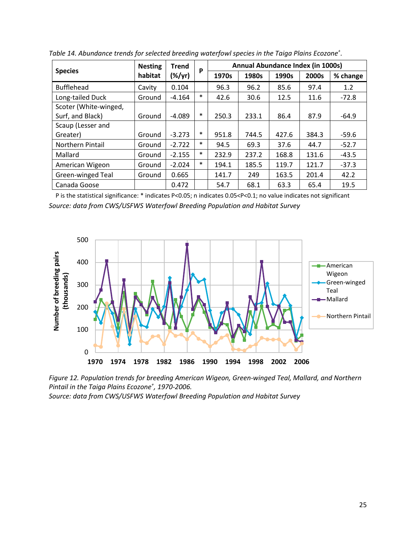|                       | <b>Nesting</b> | <b>Trend</b> | P      | Annual Abundance Index (in 1000s) |       |       |       |          |  |
|-----------------------|----------------|--------------|--------|-----------------------------------|-------|-------|-------|----------|--|
| <b>Species</b>        | habitat        | $(\%/yr)$    |        | 1970s                             | 1980s | 1990s | 2000s | % change |  |
| <b>Bufflehead</b>     | Cavity         | 0.104        |        | 96.3                              | 96.2  | 85.6  | 97.4  | 1.2      |  |
| Long-tailed Duck      | Ground         | $-4.164$     | $\ast$ | 42.6                              | 30.6  | 12.5  | 11.6  | $-72.8$  |  |
| Scoter (White-winged, |                |              |        |                                   |       |       |       |          |  |
| Surf, and Black)      | Ground         | $-4.089$     | $\ast$ | 250.3                             | 233.1 | 86.4  | 87.9  | $-64.9$  |  |
| Scaup (Lesser and     |                |              |        |                                   |       |       |       |          |  |
| Greater)              | Ground         | $-3.273$     | $\ast$ | 951.8                             | 744.5 | 427.6 | 384.3 | $-59.6$  |  |
| Northern Pintail      | Ground         | $-2.722$     | $\ast$ | 94.5                              | 69.3  | 37.6  | 44.7  | $-52.7$  |  |
| Mallard               | Ground         | $-2.155$     | $\ast$ | 232.9                             | 237.2 | 168.8 | 131.6 | $-43.5$  |  |
| American Wigeon       | Ground         | $-2.024$     | $\ast$ | 194.1                             | 185.5 | 119.7 | 121.7 | $-37.3$  |  |
| Green-winged Teal     | Ground         | 0.665        |        | 141.7                             | 249   | 163.5 | 201.4 | 42.2     |  |
| Canada Goose          |                | 0.472        |        | 54.7                              | 68.1  | 63.3  | 65.4  | 19.5     |  |

<span id="page-31-1"></span>*Table 14. Abundance trends for selected breeding waterfowl species in the Taiga Plains Ecozone<sup>+</sup> .*

P is the statistical significance: \* indicates P<0.05; n indicates 0.05<P<0.1; no value indicates not significant *Source: data from CWS/USFWS Waterfowl Breeding Population and Habitat Survey*



<span id="page-31-0"></span>*Figure 12. Population trends for breeding American Wigeon, Green-winged Teal, Mallard, and Northern Pintail in the Taiga Plains Ecozone<sup>+</sup> , 1970-2006.*

*Source: data from CWS/USFWS Waterfowl Breeding Population and Habitat Survey*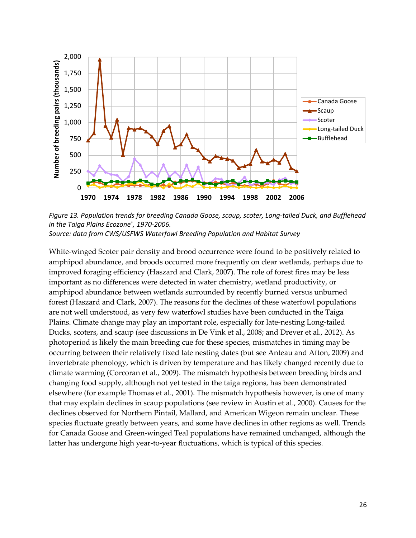

<span id="page-32-0"></span>*Figure 13. Population trends for breeding Canada Goose, scaup, scoter, Long-tailed Duck, and Bufflehead in the Taiga Plains Ecozone+ , 1970-2006. Source: data from CWS/USFWS Waterfowl Breeding Population and Habitat Survey*

White-winged Scoter pair density and brood occurrence were found to be positively related to amphipod abundance, and broods occurred more frequently on clear wetlands, perhaps due to improved foraging efficiency (Haszard and Clark, 2007). The role of forest fires may be less important as no differences were detected in water chemistry, wetland productivity, or amphipod abundance between wetlands surrounded by recently burned versus unburned forest (Haszard and Clark, 2007). The reasons for the declines of these waterfowl populations are not well understood, as very few waterfowl studies have been conducted in the Taiga Plains. Climate change may play an important role, especially for late-nesting Long-tailed Ducks, scoters, and scaup (see discussions in De Vink et al., 2008; and Drever et al., 2012). As photoperiod is likely the main breeding cue for these species, mismatches in timing may be occurring between their relatively fixed late nesting dates (but see Anteau and Afton, 2009) and invertebrate phenology, which is driven by temperature and has likely changed recently due to climate warming (Corcoran et al., 2009). The mismatch hypothesis between breeding birds and changing food supply, although not yet tested in the taiga regions, has been demonstrated elsewhere (for example Thomas et al., 2001). The mismatch hypothesis however, is one of many that may explain declines in scaup populations (see review in Austin et al., 2000). Causes for the declines observed for Northern Pintail, Mallard, and American Wigeon remain unclear. These species fluctuate greatly between years, and some have declines in other regions as well. Trends for Canada Goose and Green-winged Teal populations have remained unchanged, although the latter has undergone high year-to-year fluctuations, which is typical of this species.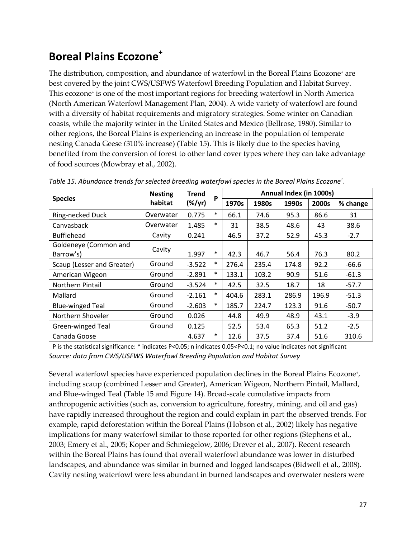# <span id="page-33-0"></span>**Boreal Plains Ecozone<sup>+</sup>**

The distribution, composition, and abundance of waterfowl in the Boreal Plains Ecozone<sup>+</sup> are best covered by the joint CWS/USFWS Waterfowl Breeding Population and Habitat Survey. This ecozone<sup>+</sup> is one of the most important regions for breeding waterfowl in North America (North American Waterfowl Management Plan, 2004). A wide variety of waterfowl are found with a diversity of habitat requirements and migratory strategies. Some winter on Canadian coasts, while the majority winter in the United States and Mexico (Bellrose, 1980). Similar to other regions, the Boreal Plains is experiencing an increase in the population of temperate nesting Canada Geese *(*310% increase) [\(Table](#page-33-1) 15). This is likely due to the species having benefited from the conversion of forest to other land cover types where they can take advantage of food sources (Mowbray et al., 2002).

|                                    | <b>Nesting</b> | <b>Trend</b>    |        | Annual Index (in 1000s)<br>P |       |       |       |          |  |
|------------------------------------|----------------|-----------------|--------|------------------------------|-------|-------|-------|----------|--|
| <b>Species</b>                     | habitat        | $(\frac{8}{y})$ |        | 1970s                        | 1980s | 1990s | 2000s | % change |  |
| Ring-necked Duck                   | Overwater      | 0.775           | $\ast$ | 66.1                         | 74.6  | 95.3  | 86.6  | 31       |  |
| Canvasback                         | Overwater      | 1.485           | $\ast$ | 31                           | 38.5  | 48.6  | 43    | 38.6     |  |
| <b>Bufflehead</b>                  | Cavity         | 0.241           |        | 46.5                         | 37.2  | 52.9  | 45.3  | $-2.7$   |  |
| Goldeneye (Common and<br>Barrow's) | Cavity         | 1.997           | $\ast$ | 42.3                         | 46.7  | 56.4  | 76.3  | 80.2     |  |
| Scaup (Lesser and Greater)         | Ground         | $-3.522$        | $\ast$ | 276.4                        | 235.4 | 174.8 | 92.2  | $-66.6$  |  |
| American Wigeon                    | Ground         | $-2.891$        | $\ast$ | 133.1                        | 103.2 | 90.9  | 51.6  | $-61.3$  |  |
| <b>Northern Pintail</b>            | Ground         | $-3.524$        | $\ast$ | 42.5                         | 32.5  | 18.7  | 18    | $-57.7$  |  |
| Mallard                            | Ground         | $-2.161$        | $\ast$ | 404.6                        | 283.1 | 286.9 | 196.9 | $-51.3$  |  |
| <b>Blue-winged Teal</b>            | Ground         | $-2.603$        | $\ast$ | 185.7                        | 224.7 | 123.3 | 91.6  | $-50.7$  |  |
| Northern Shoveler                  | Ground         | 0.026           |        | 44.8                         | 49.9  | 48.9  | 43.1  | $-3.9$   |  |
| Green-winged Teal                  | Ground         | 0.125           |        | 52.5                         | 53.4  | 65.3  | 51.2  | $-2.5$   |  |
| Canada Goose                       |                | 4.637           | $\ast$ | 12.6                         | 37.5  | 37.4  | 51.6  | 310.6    |  |

<span id="page-33-1"></span>*Table 15. Abundance trends for selected breeding waterfowl species in the Boreal Plains Ecozone<sup>+</sup> .*

P is the statistical significance: \* indicates P<0.05; n indicates 0.05<P<0.1; no value indicates not significant *Source: data from CWS/USFWS Waterfowl Breeding Population and Habitat Survey*

Several waterfowl species have experienced population declines in the Boreal Plains Ecozone+, including scaup (combined Lesser and Greater), American Wigeon, Northern Pintail, Mallard, and Blue-winged Teal [\(Table](#page-33-1) 15 and [Figure](#page-34-0) 14). Broad-scale cumulative impacts from anthropogenic activities (such as, conversion to agriculture, forestry, mining, and oil and gas) have rapidly increased throughout the region and could explain in part the observed trends. For example, rapid deforestation within the Boreal Plains (Hobson et al., 2002) likely has negative implications for many waterfowl similar to those reported for other regions (Stephens et al., 2003; Emery et al., 2005; Koper and Schmiegelow, 2006; Drever et al., 2007). Recent research within the Boreal Plains has found that overall waterfowl abundance was lower in disturbed landscapes, and abundance was similar in burned and logged landscapes (Bidwell et al., 2008). Cavity nesting waterfowl were less abundant in burned landscapes and overwater nesters were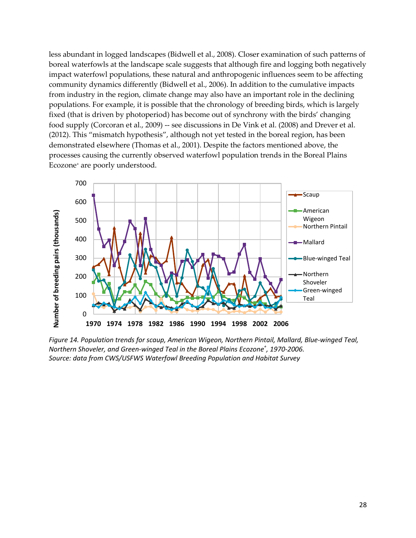less abundant in logged landscapes (Bidwell et al., 2008). Closer examination of such patterns of boreal waterfowls at the landscape scale suggests that although fire and logging both negatively impact waterfowl populations, these natural and anthropogenic influences seem to be affecting community dynamics differently (Bidwell et al., 2006). In addition to the cumulative impacts from industry in the region, climate change may also have an important role in the declining populations. For example, it is possible that the chronology of breeding birds, which is largely fixed (that is driven by photoperiod) has become out of synchrony with the birds' changing food supply (Corcoran et al., 2009) -- see discussions in De Vink et al. (2008) and Drever et al. (2012). This "mismatch hypothesis", although not yet tested in the boreal region, has been demonstrated elsewhere (Thomas et al., 2001). Despite the factors mentioned above, the processes causing the currently observed waterfowl population trends in the Boreal Plains Ecozone+ are poorly understood.



<span id="page-34-0"></span>*Figure 14. Population trends for scaup, American Wigeon, Northern Pintail, Mallard, Blue-winged Teal, Northern Shoveler, and Green-winged Teal in the Boreal Plains Ecozone<sup>+</sup> , 1970-2006. Source: data from CWS/USFWS Waterfowl Breeding Population and Habitat Survey*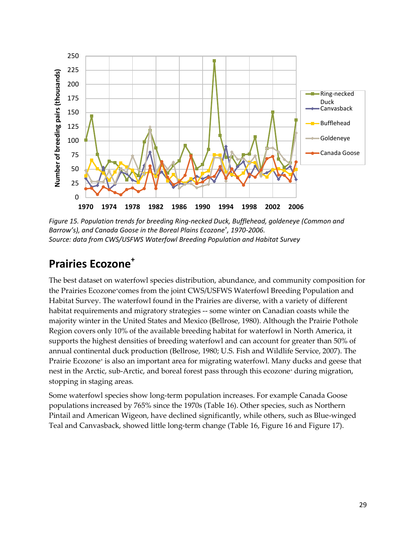

<span id="page-35-1"></span>*Figure 15. Population trends for breeding Ring-necked Duck, Bufflehead, goldeneye (Common and Barrow's), and Canada Goose in the Boreal Plains Ecozone<sup>+</sup> , 1970-2006. Source: data from CWS/USFWS Waterfowl Breeding Population and Habitat Survey*

### <span id="page-35-0"></span>**Prairies Ecozone<sup>+</sup>**

The best dataset on waterfowl species distribution, abundance, and community composition for the Prairies Ecozone+comes from the joint CWS/USFWS Waterfowl Breeding Population and Habitat Survey. The waterfowl found in the Prairies are diverse, with a variety of different habitat requirements and migratory strategies -- some winter on Canadian coasts while the majority winter in the United States and Mexico (Bellrose, 1980). Although the Prairie Pothole Region covers only 10% of the available breeding habitat for waterfowl in North America, it supports the highest densities of breeding waterfowl and can account for greater than 50% of annual continental duck production (Bellrose, 1980; U.S. Fish and Wildlife Service, 2007). The Prairie Ecozone<sup>+</sup> is also an important area for migrating waterfowl. Many ducks and geese that nest in the Arctic, sub-Arctic, and boreal forest pass through this ecozone<sup>+</sup> during migration, stopping in staging areas.

Some waterfowl species show long-term population increases. For example Canada Goose populations increased by 765% since the 1970s [\(Table](#page-36-1) 16). Other species, such as Northern Pintail and American Wigeon, have declined significantly, while others, such as Blue-winged Teal and Canvasback, showed little long-term change [\(Table](#page-36-1) 16, [Figure](#page-36-0) 16 and [Figure](#page-37-0) 17).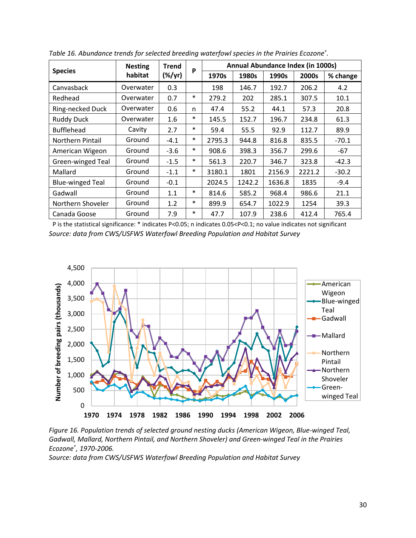|                         | <b>Nesting</b> | <b>Trend</b> | P      |        | Annual Abundance Index (in 1000s) |        |        |          |
|-------------------------|----------------|--------------|--------|--------|-----------------------------------|--------|--------|----------|
| <b>Species</b>          | habitat        | (%/yr)       |        | 1970s  | 1980s                             | 1990s  | 2000s  | % change |
| Canvasback              | Overwater      | 0.3          |        | 198    | 146.7                             | 192.7  | 206.2  | 4.2      |
| Redhead                 | Overwater      | 0.7          | $\ast$ | 279.2  | 202                               | 285.1  | 307.5  | 10.1     |
| Ring-necked Duck        | Overwater      | 0.6          | n      | 47.4   | 55.2                              | 44.1   | 57.3   | 20.8     |
| <b>Ruddy Duck</b>       | Overwater      | 1.6          | $\ast$ | 145.5  | 152.7                             | 196.7  | 234.8  | 61.3     |
| <b>Bufflehead</b>       | Cavity         | 2.7          | $\ast$ | 59.4   | 55.5                              | 92.9   | 112.7  | 89.9     |
| Northern Pintail        | Ground         | $-4.1$       | $\ast$ | 2795.3 | 944.8                             | 816.8  | 835.5  | $-70.1$  |
| American Wigeon         | Ground         | $-3.6$       | $\ast$ | 908.6  | 398.3                             | 356.7  | 299.6  | -67      |
| Green-winged Teal       | Ground         | $-1.5$       | $\ast$ | 561.3  | 220.7                             | 346.7  | 323.8  | $-42.3$  |
| Mallard                 | Ground         | $-1.1$       | $\ast$ | 3180.1 | 1801                              | 2156.9 | 2221.2 | $-30.2$  |
| <b>Blue-winged Teal</b> | Ground         | $-0.1$       |        | 2024.5 | 1242.2                            | 1636.8 | 1835   | $-9.4$   |
| Gadwall                 | Ground         | 1.1          | $\ast$ | 814.6  | 585.2                             | 968.4  | 986.6  | 21.1     |
| Northern Shoveler       | Ground         | 1.2          | $\ast$ | 899.9  | 654.7                             | 1022.9 | 1254   | 39.3     |
| Canada Goose            | Ground         | 7.9          | $\ast$ | 47.7   | 107.9                             | 238.6  | 412.4  | 765.4    |

<span id="page-36-1"></span>*Table 16. Abundance trends for selected breeding waterfowl species in the Prairies Ecozone<sup>+</sup> .*

P is the statistical significance: \* indicates P<0.05; n indicates 0.05<P<0.1; no value indicates not significant *Source: data from CWS/USFWS Waterfowl Breeding Population and Habitat Survey*



<span id="page-36-0"></span>*Figure 16. Population trends of selected ground nesting ducks (American Wigeon, Blue-winged Teal, Gadwall, Mallard, Northern Pintail, and Northern Shoveler) and Green-winged Teal in the Prairies Ecozone<sup>+</sup> , 1970-2006.*

*Source: data from CWS/USFWS Waterfowl Breeding Population and Habitat Survey*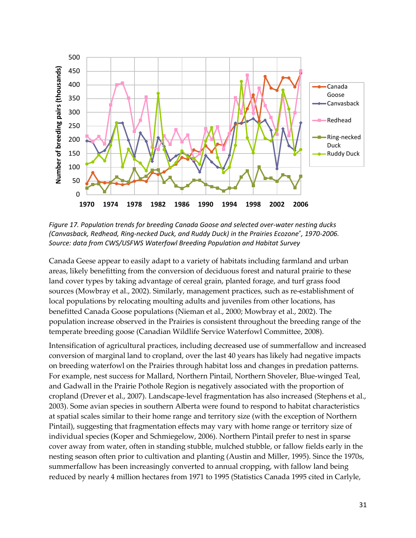

<span id="page-37-0"></span>*Figure 17. Population trends for breeding Canada Goose and selected over-water nesting ducks (Canvasback, Redhead, Ring-necked Duck, and Ruddy Duck) in the Prairies Ecozone<sup>+</sup> , 1970-2006. Source: data from CWS/USFWS Waterfowl Breeding Population and Habitat Survey*

Canada Geese appear to easily adapt to a variety of habitats including farmland and urban areas, likely benefitting from the conversion of deciduous forest and natural prairie to these land cover types by taking advantage of cereal grain, planted forage, and turf grass food sources (Mowbray et al., 2002). Similarly, management practices, such as re-establishment of local populations by relocating moulting adults and juveniles from other locations, has benefitted Canada Goose populations (Nieman et al., 2000; Mowbray et al., 2002). The population increase observed in the Prairies is consistent throughout the breeding range of the temperate breeding goose (Canadian Wildlife Service Waterfowl Committee, 2008).

Intensification of agricultural practices, including decreased use of summerfallow and increased conversion of marginal land to cropland, over the last 40 years has likely had negative impacts on breeding waterfowl on the Prairies through habitat loss and changes in predation patterns. For example, nest success for Mallard, Northern Pintail, Northern Shoveler, Blue-winged Teal, and Gadwall in the Prairie Pothole Region is negatively associated with the proportion of cropland (Drever et al., 2007). Landscape-level fragmentation has also increased (Stephens et al., 2003). Some avian species in southern Alberta were found to respond to habitat characteristics at spatial scales similar to their home range and territory size (with the exception of Northern Pintail), suggesting that fragmentation effects may vary with home range or territory size of individual species (Koper and Schmiegelow, 2006). Northern Pintail prefer to nest in sparse cover away from water, often in standing stubble, mulched stubble, or fallow fields early in the nesting season often prior to cultivation and planting (Austin and Miller, 1995). Since the 1970s, summerfallow has been increasingly converted to annual cropping, with fallow land being reduced by nearly 4 million hectares from 1971 to 1995 (Statistics Canada 1995 cited in Carlyle,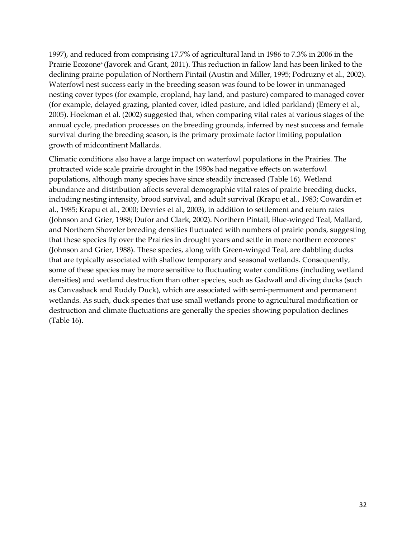1997), and reduced from comprising 17.7% of agricultural land in 1986 to 7.3% in 2006 in the Prairie Ecozone<sup>+</sup> (Javorek and Grant, 2011). This reduction in fallow land has been linked to the declining prairie population of Northern Pintail (Austin and Miller, 1995; Podruzny et al., 2002). Waterfowl nest success early in the breeding season was found to be lower in unmanaged nesting cover types (for example, cropland, hay land, and pasture) compared to managed cover (for example, delayed grazing, planted cover, idled pasture, and idled parkland) (Emery et al., 2005)**.** Hoekman et al. (2002) suggested that, when comparing vital rates at various stages of the annual cycle, predation processes on the breeding grounds, inferred by nest success and female survival during the breeding season, is the primary proximate factor limiting population growth of midcontinent Mallards.

Climatic conditions also have a large impact on waterfowl populations in the Prairies. The protracted wide scale prairie drought in the 1980s had negative effects on waterfowl populations, although many species have since steadily increased [\(Table](#page-36-1) 16). Wetland abundance and distribution affects several demographic vital rates of prairie breeding ducks, including nesting intensity, brood survival, and adult survival (Krapu et al., 1983; Cowardin et al., 1985; Krapu et al., 2000; Devries et al., 2003), in addition to settlement and return rates (Johnson and Grier, 1988; Dufor and Clark, 2002). Northern Pintail, Blue-winged Teal, Mallard, and Northern Shoveler breeding densities fluctuated with numbers of prairie ponds, suggesting that these species fly over the Prairies in drought years and settle in more northern ecozones<sup>+</sup> (Johnson and Grier, 1988). These species, along with Green-winged Teal, are dabbling ducks that are typically associated with shallow temporary and seasonal wetlands. Consequently, some of these species may be more sensitive to fluctuating water conditions (including wetland densities) and wetland destruction than other species, such as Gadwall and diving ducks (such as Canvasback and Ruddy Duck), which are associated with semi-permanent and permanent wetlands. As such, duck species that use small wetlands prone to agricultural modification or destruction and climate fluctuations are generally the species showing population declines [\(Table](#page-36-1) 16).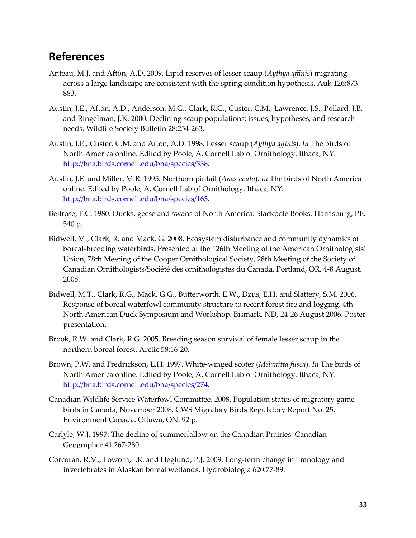### <span id="page-39-0"></span>**References**

- Anteau, M.J. and Afton, A.D. 2009. Lipid reserves of lesser scaup (*Aythya affinis*) migrating across a large landscape are consistent with the spring condition hypothesis. Auk 126:873- 883.
- Austin, J.E., Afton, A.D., Anderson, M.G., Clark, R.G., Custer, C.M., Lawrence, J.S., Pollard, J.B. and Ringelman, J.K. 2000. Declining scaup populations: issues, hypotheses, and research needs. Wildlife Society Bulletin 28:254-263.
- Austin, J.E., Custer, C.M. and Afton, A.D. 1998. Lesser scaup (*Aythya affinis*). *In* The birds of North America online. Edited by Poole, A. Cornell Lab of Ornithology. Ithaca, NY. [http://bna.birds.cornell.edu/bna/species/338.](http://bna.birds.cornell.edu/bna/species/338)
- Austin, J.E. and Miller, M.R. 1995. Northern pintail (*Anas acuta*). *In* The birds of North America online. Edited by Poole, A. Cornell Lab of Ornithology. Ithaca, NY. [http://bna.birds.cornell.edu/bna/species/163.](http://bna.birds.cornell.edu/bna/species/163)
- Bellrose, F.C. 1980. Ducks, geese and swans of North America. Stackpole Books. Harrisburg, PE. 540 p.
- Bidwell, M., Clark, R. and Mack, G. 2008. Ecosystem disturbance and community dynamics of boreal-breeding waterbirds. Presented at the 126th Meeting of the American Ornithologists' Union, 78th Meeting of the Cooper Ornithological Society, 28th Meeting of the Society of Canadian Ornithologists/Société des ornithologistes du Canada. Portland, OR, 4-8 August, 2008.
- Bidwell, M.T., Clark, R.G., Mack, G.G., Butterworth, E.W., Dzus, E.H. and Slattery, S.M. 2006. Response of boreal waterfowl community structure to recent forest fire and logging. 4th North American Duck Symposium and Workshop. Bismark, ND, 24-26 August 2006. Poster presentation.
- Brook, R.W. and Clark, R.G. 2005. Breeding season survival of female lesser scaup in the northern boreal forest. Arctic 58:16-20.
- Brown, P.W. and Fredrickson, L.H. 1997. White-winged scoter (*Melanitta fusca*). *In* The birds of North America online. Edited by Poole, A. Cornell Lab of Ornithology. Ithaca, NY. [http://bna.birds.cornell.edu/bna/species/274.](http://bna.birds.cornell.edu/bna/species/274)
- Canadian Wildlife Service Waterfowl Committee. 2008. Population status of migratory game birds in Canada, November 2008. CWS Migratory Birds Regulatory Report No. 25. Environment Canada. Ottawa, ON. 92 p.
- Carlyle, W.J. 1997. The decline of summerfallow on the Canadian Prairies. Canadian Geographer 41:267-280.
- Corcoran, R.M., Loworn, J.R. and Heglund, P.J. 2009. Long-term change in limnology and invertebrates in Alaskan boreal wetlands. Hydrobiologia 620:77-89.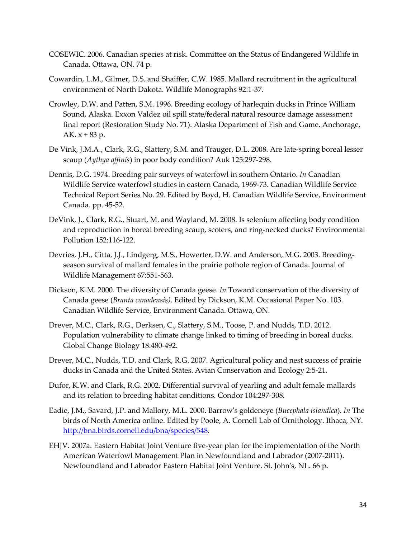- COSEWIC. 2006. Canadian species at risk. Committee on the Status of Endangered Wildlife in Canada. Ottawa, ON. 74 p.
- Cowardin, L.M., Gilmer, D.S. and Shaiffer, C.W. 1985. Mallard recruitment in the agricultural environment of North Dakota. Wildlife Monographs 92:1-37.
- Crowley, D.W. and Patten, S.M. 1996. Breeding ecology of harlequin ducks in Prince William Sound, Alaska. Exxon Valdez oil spill state/federal natural resource damage assessment final report (Restoration Study No. 71). Alaska Department of Fish and Game. Anchorage, AK.  $x + 83 p$ .
- De Vink, J.M.A., Clark, R.G., Slattery, S.M. and Trauger, D.L. 2008. Are late-spring boreal lesser scaup (*Aythya affinis*) in poor body condition? Auk 125:297-298.
- Dennis, D.G. 1974. Breeding pair surveys of waterfowl in southern Ontario. *In* Canadian Wildlife Service waterfowl studies in eastern Canada, 1969-73. Canadian Wildlife Service Technical Report Series No. 29. Edited by Boyd, H. Canadian Wildlife Service, Environment Canada. pp. 45-52.
- DeVink, J., Clark, R.G., Stuart, M. and Wayland, M. 2008. Is selenium affecting body condition and reproduction in boreal breeding scaup, scoters, and ring-necked ducks? Environmental Pollution 152:116-122.
- Devries, J.H., Citta, J.J., Lindgerg, M.S., Howerter, D.W. and Anderson, M.G. 2003. Breedingseason survival of mallard females in the prairie pothole region of Canada. Journal of Wildlife Management 67:551-563.
- Dickson, K.M. 2000. The diversity of Canada geese. *In* Toward conservation of the diversity of Canada geese (*Branta canadensis)*. Edited by Dickson, K.M. Occasional Paper No. 103. Canadian Wildlife Service, Environment Canada. Ottawa, ON.
- Drever, M.C., Clark, R.G., Derksen, C., Slattery, S.M., Toose, P. and Nudds, T.D. 2012. Population vulnerability to climate change linked to timing of breeding in boreal ducks. Global Change Biology 18:480-492.
- Drever, M.C., Nudds, T.D. and Clark, R.G. 2007. Agricultural policy and nest success of prairie ducks in Canada and the United States. Avian Conservation and Ecology 2:5-21.
- Dufor, K.W. and Clark, R.G. 2002. Differential survival of yearling and adult female mallards and its relation to breeding habitat conditions. Condor 104:297-308.
- Eadie, J.M., Savard, J.P. and Mallory, M.L. 2000. Barrow's goldeneye (*Bucephala islandica*). *In* The birds of North America online. Edited by Poole, A. Cornell Lab of Ornithology. Ithaca, NY. [http://bna.birds.cornell.edu/bna/species/548.](http://bna.birds.cornell.edu/bna/species/548)
- EHJV. 2007a. Eastern Habitat Joint Venture five-year plan for the implementation of the North American Waterfowl Management Plan in Newfoundland and Labrador (2007-2011). Newfoundland and Labrador Eastern Habitat Joint Venture. St. John's, NL. 66 p.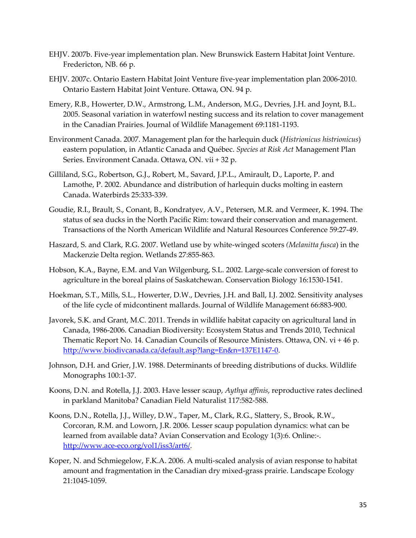- EHJV. 2007b. Five-year implementation plan. New Brunswick Eastern Habitat Joint Venture. Fredericton, NB. 66 p.
- EHJV. 2007c. Ontario Eastern Habitat Joint Venture five-year implementation plan 2006-2010. Ontario Eastern Habitat Joint Venture. Ottawa, ON. 94 p.
- Emery, R.B., Howerter, D.W., Armstrong, L.M., Anderson, M.G., Devries, J.H. and Joynt, B.L. 2005. Seasonal variation in waterfowl nesting success and its relation to cover management in the Canadian Prairies. Journal of Wildlife Management 69:1181-1193.
- Environment Canada. 2007. Management plan for the harlequin duck (*Histrionicus histrionicus*) eastern population, in Atlantic Canada and Québec. *Species at Risk Act* Management Plan Series. Environment Canada. Ottawa, ON. vii + 32 p.
- Gilliland, S.G., Robertson, G.J., Robert, M., Savard, J.P.L., Amirault, D., Laporte, P. and Lamothe, P. 2002. Abundance and distribution of harlequin ducks molting in eastern Canada. Waterbirds 25:333-339.
- Goudie, R.I., Brault, S., Conant, B., Kondratyev, A.V., Petersen, M.R. and Vermeer, K. 1994. The status of sea ducks in the North Pacific Rim: toward their conservation and management. Transactions of the North American Wildlife and Natural Resources Conference 59:27-49.
- Haszard, S. and Clark, R.G. 2007. Wetland use by white-winged scoters *(Melanitta fusca*) in the Mackenzie Delta region. Wetlands 27:855-863.
- Hobson, K.A., Bayne, E.M. and Van Wilgenburg, S.L. 2002. Large-scale conversion of forest to agriculture in the boreal plains of Saskatchewan. Conservation Biology 16:1530-1541.
- Hoekman, S.T., Mills, S.L., Howerter, D.W., Devries, J.H. and Ball, I.J. 2002. Sensitivity analyses of the life cycle of midcontinent mallards. Journal of Wildlife Management 66:883-900.
- Javorek, S.K. and Grant, M.C. 2011. Trends in wildlife habitat capacity on agricultural land in Canada, 1986-2006. Canadian Biodiversity: Ecosystem Status and Trends 2010, Technical Thematic Report No. 14. Canadian Councils of Resource Ministers. Ottawa, ON. vi + 46 p. [http://www.biodivcanada.ca/default.asp?lang=En&n=137E1147-0.](http://www.biodivcanada.ca/default.asp?lang=En&n=137E1147-0)
- Johnson, D.H. and Grier, J.W. 1988. Determinants of breeding distributions of ducks. Wildlife Monographs 100:1-37.
- Koons, D.N. and Rotella, J.J. 2003. Have lesser scaup, *Aythya affinis*, reproductive rates declined in parkland Manitoba? Canadian Field Naturalist 117:582-588.
- Koons, D.N., Rotella, J.J., Willey, D.W., Taper, M., Clark, R.G., Slattery, S., Brook, R.W., Corcoran, R.M. and Loworn, J.R. 2006. Lesser scaup population dynamics: what can be learned from available data? Avian Conservation and Ecology 1(3):6. Online:-. [http://www.ace-eco.org/vol1/iss3/art6/.](http://www.ace-eco.org/vol1/iss3/art6/)
- Koper, N. and Schmiegelow, F.K.A. 2006. A multi-scaled analysis of avian response to habitat amount and fragmentation in the Canadian dry mixed-grass prairie. Landscape Ecology 21:1045-1059.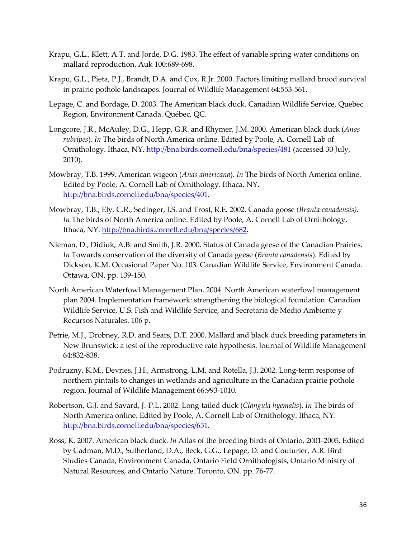- Krapu, G.L., Klett, A.T. and Jorde, D.G. 1983. The effect of variable spring water conditions on mallard reproduction. Auk 100:689-698.
- Krapu, G.L., Pieta, P.J., Brandt, D.A. and Cox, R.Jr. 2000. Factors limiting mallard brood survival in prairie pothole landscapes. Journal of Wildlife Management 64:553-561.
- Lepage, C. and Bordage, D. 2003. The American black duck. Canadian Wildlife Service, Quebec Region, Environment Canada. Québec, QC.
- Longcore, J.R., McAuley, D.G., Hepp, G.R. and Rhymer, J.M. 2000. American black duck (*Anas rubripes*). *In* The birds of North America online. Edited by Poole, A. Cornell Lab of Ornithology. Ithaca, NY.<http://bna.birds.cornell.edu/bna/species/481> (accessed 30 July, 2010).
- Mowbray, T.B. 1999. American wigeon (*Anas americana*). *In* The birds of North America online. Edited by Poole, A. Cornell Lab of Ornithology. Ithaca, NY. [http://bna.birds.cornell.edu/bna/species/401.](http://bna.birds.cornell.edu/bna/species/401)
- Mowbray, T.B., Ely, C.R., Sedinger, J.S. and Trost, R.E. 2002. Canada goose *(Branta canadensis)*. *In* The birds of North America online. Edited by Poole, A. Cornell Lab of Ornithology. Ithaca, NY. [http://bna.birds.cornell.edu/bna/species/682.](http://bna.birds.cornell.edu/bna/species/682)
- Nieman, D., Didiuk, A.B. and Smith, J.R. 2000. Status of Canada geese of the Canadian Prairies. *In* Towards conservation of the diversity of Canada geese (*Branta canadensis*). Edited by Dickson, K.M. Occasional Paper No. 103. Canadian Wildlife Service, Environment Canada. Ottawa, ON. pp. 139-150.
- North American Waterfowl Management Plan. 2004. North American waterfowl management plan 2004. Implementation framework: strengthening the biological foundation. Canadian Wildlife Service, U.S. Fish and Wildlife Service, and Secretaria de Medio Ambiente y Recursos Naturales. 106 p.
- Petrie, M.J., Drobney, R.D. and Sears, D.T. 2000. Mallard and black duck breeding parameters in New Brunswick: a test of the reproductive rate hypothesis. Journal of Wildlife Management 64:832-838.
- Podruzny, K.M., Devries, J.H., Armstrong, L.M. and Rotella, J.J. 2002. Long-term response of northern pintails to changes in wetlands and agriculture in the Canadian prairie pothole region. Journal of Wildlife Management 66:993-1010.
- Robertson, G.J. and Savard, J.-P.L. 2002. Long-tailed duck (*Clangula hyemalis*). *In* The birds of North America online. Edited by Poole, A. Cornell Lab of Ornithology. Ithaca, NY. [http://bna.birds.cornell.edu/bna/species/651.](http://bna.birds.cornell.edu/bna/species/651)
- Ross, K. 2007. American black duck. *In* Atlas of the breeding birds of Ontario, 2001-2005. Edited by Cadman, M.D., Sutherland, D.A., Beck, G.G., Lepage, D. and Couturier, A.R. Bird Studies Canada, Environment Canada, Ontario Field Ornithologists, Ontario Ministry of Natural Resources, and Ontario Nature. Toronto, ON. pp. 76-77.